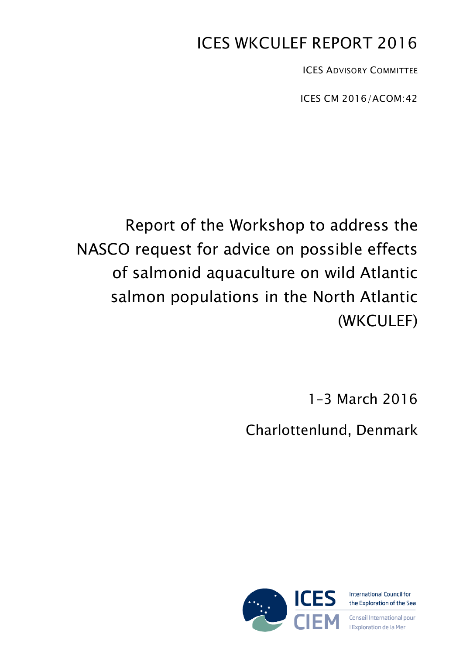# ICES WKCULEF REPORT 2016

ICES ADVISORY COMMITTEE

ICES CM 2016/ACOM:42

# Report of the Workshop to address the NASCO request for advice on possible effects of salmonid aquaculture on wild Atlantic salmon populations in the North Atlantic (WKCULEF)

1–3 March 2016

Charlottenlund, Denmark

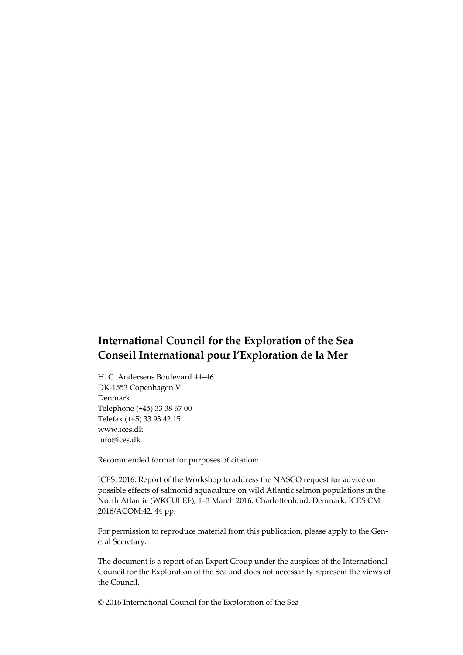# **International Council for the Exploration of the Sea Conseil International pour l'Exploration de la Mer**

H. C. Andersens Boulevard 44–46 DK-1553 Copenhagen V Denmark Telephone (+45) 33 38 67 00 Telefax (+45) 33 93 42 15 www.ices.dk info@ices.dk

Recommended format for purposes of citation:

ICES. 2016. Report of the Workshop to address the NASCO request for advice on possible effects of salmonid aquaculture on wild Atlantic salmon populations in the North Atlantic (WKCULEF), 1–3 March 2016, Charlottenlund, Denmark. ICES CM 2016/ACOM:42. 44 pp.

For permission to reproduce material from this publication, please apply to the General Secretary.

The document is a report of an Expert Group under the auspices of the International Council for the Exploration of the Sea and does not necessarily represent the views of the Council.

© 2016 International Council for the Exploration of the Sea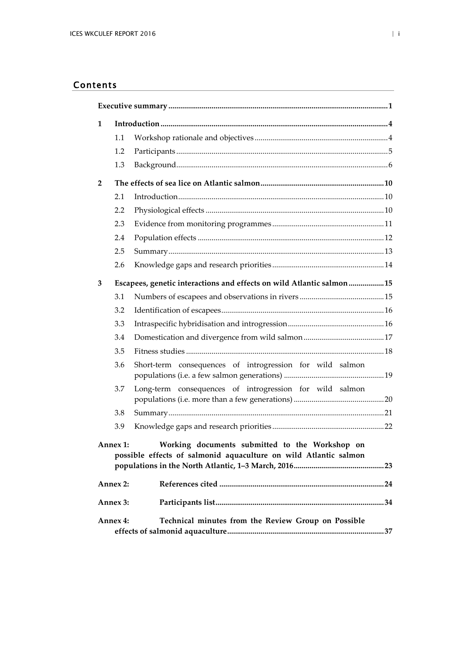## Contents

| $\mathbf{1}$                                                                                                                   |                                                                       |                                                          |  |  |  |
|--------------------------------------------------------------------------------------------------------------------------------|-----------------------------------------------------------------------|----------------------------------------------------------|--|--|--|
|                                                                                                                                | 1.1                                                                   |                                                          |  |  |  |
|                                                                                                                                | 1.2                                                                   |                                                          |  |  |  |
|                                                                                                                                | 1.3                                                                   |                                                          |  |  |  |
| $\overline{2}$                                                                                                                 |                                                                       |                                                          |  |  |  |
|                                                                                                                                | 2.1                                                                   |                                                          |  |  |  |
|                                                                                                                                | 2.2                                                                   |                                                          |  |  |  |
|                                                                                                                                | 2.3                                                                   |                                                          |  |  |  |
|                                                                                                                                | 2.4                                                                   |                                                          |  |  |  |
|                                                                                                                                | 2.5                                                                   |                                                          |  |  |  |
|                                                                                                                                | 2.6                                                                   |                                                          |  |  |  |
| 3                                                                                                                              | Escapees, genetic interactions and effects on wild Atlantic salmon 15 |                                                          |  |  |  |
|                                                                                                                                | 3.1                                                                   |                                                          |  |  |  |
|                                                                                                                                | 3.2                                                                   |                                                          |  |  |  |
|                                                                                                                                | 3.3                                                                   |                                                          |  |  |  |
|                                                                                                                                | 3.4                                                                   |                                                          |  |  |  |
|                                                                                                                                | 3.5                                                                   |                                                          |  |  |  |
|                                                                                                                                | 3.6                                                                   | Short-term consequences of introgression for wild salmon |  |  |  |
|                                                                                                                                | 3.7                                                                   | Long-term consequences of introgression for wild salmon  |  |  |  |
|                                                                                                                                | 3.8                                                                   |                                                          |  |  |  |
|                                                                                                                                | 3.9                                                                   |                                                          |  |  |  |
| Working documents submitted to the Workshop on<br>Annex 1:<br>possible effects of salmonid aquaculture on wild Atlantic salmon |                                                                       |                                                          |  |  |  |
| Annex 2:                                                                                                                       |                                                                       |                                                          |  |  |  |
| Annex 3:                                                                                                                       |                                                                       |                                                          |  |  |  |
| Technical minutes from the Review Group on Possible<br>Annex 4:                                                                |                                                                       |                                                          |  |  |  |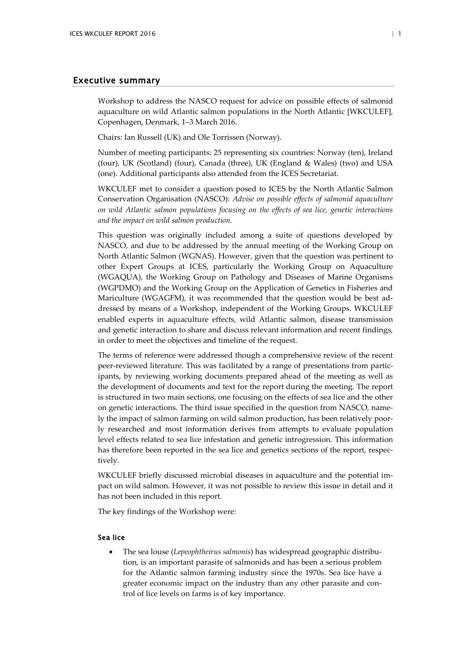## <span id="page-3-0"></span>Executive summary

Workshop to address the NASCO request for advice on possible effects of salmonid aquaculture on wild Atlantic salmon populations in the North Atlantic [WKCULEF], Copenhagen, Denmark, 1–3 March 2016.

Chairs: Ian Russell (UK) and Ole Torrissen (Norway).

Number of meeting participants: 25 representing six countries: Norway (ten), Ireland (four), UK (Scotland) (four), Canada (three), UK (England & Wales) (two) and USA (one). Additional participants also attended from the ICES Secretariat.

WKCULEF met to consider a question posed to ICES by the North Atlantic Salmon Conservation Organisation (NASCO): *Advise on possible effects of salmonid aquaculture on wild Atlantic salmon populations focusing on the effects of sea lice, genetic interactions and the impact on wild salmon production*.

This question was originally included among a suite of questions developed by NASCO, and due to be addressed by the annual meeting of the Working Group on North Atlantic Salmon (WGNAS). However, given that the question was pertinent to other Expert Groups at ICES, particularly the Working Group on Aquaculture (WGAQUA), the Working Group on Pathology and Diseases of Marine Organisms (WGPDMO) and the Working Group on the Application of Genetics in Fisheries and Mariculture (WGAGFM), it was recommended that the question would be best addressed by means of a Workshop, independent of the Working Groups. WKCULEF enabled experts in aquaculture effects, wild Atlantic salmon, disease transmission and genetic interaction to share and discuss relevant information and recent findings, in order to meet the objectives and timeline of the request.

The terms of reference were addressed though a comprehensive review of the recent peer-reviewed literature. This was facilitated by a range of presentations from participants, by reviewing working documents prepared ahead of the meeting as well as the development of documents and text for the report during the meeting. The report is structured in two main sections, one focusing on the effects of sea lice and the other on genetic interactions. The third issue specified in the question from NASCO, namely the impact of salmon farming on wild salmon production, has been relatively poorly researched and most information derives from attempts to evaluate population level effects related to sea lice infestation and genetic introgression. This information has therefore been reported in the sea lice and genetics sections of the report, respectively.

WKCULEF briefly discussed microbial diseases in aquaculture and the potential impact on wild salmon. However, it was not possible to review this issue in detail and it has not been included in this report.

The key findings of the Workshop were:

#### Sea lice

• The sea louse (*Lepeophtheirus salmonis*) has widespread geographic distribution, is an important parasite of salmonids and has been a serious problem for the Atlantic salmon farming industry since the 1970s. Sea lice have a greater economic impact on the industry than any other parasite and control of lice levels on farms is of key importance.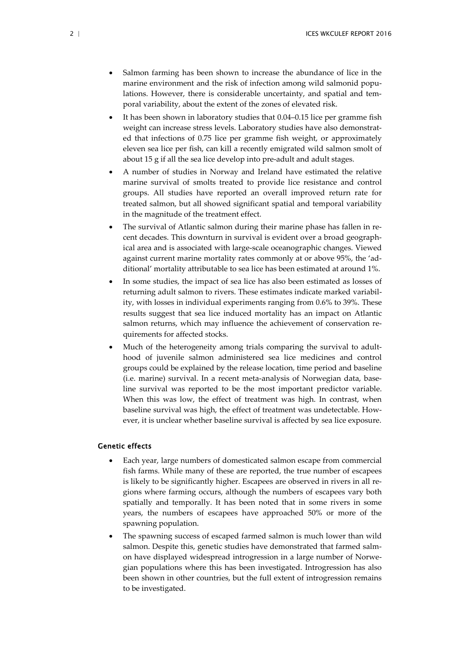- Salmon farming has been shown to increase the abundance of lice in the marine environment and the risk of infection among wild salmonid populations. However, there is considerable uncertainty, and spatial and temporal variability, about the extent of the zones of elevated risk.
- It has been shown in laboratory studies that 0.04–0.15 lice per gramme fish weight can increase stress levels. Laboratory studies have also demonstrated that infections of 0.75 lice per gramme fish weight, or approximately eleven sea lice per fish, can kill a recently emigrated wild salmon smolt of about 15 g if all the sea lice develop into pre-adult and adult stages.
- A number of studies in Norway and Ireland have estimated the relative marine survival of smolts treated to provide lice resistance and control groups. All studies have reported an overall improved return rate for treated salmon, but all showed significant spatial and temporal variability in the magnitude of the treatment effect.
- The survival of Atlantic salmon during their marine phase has fallen in recent decades. This downturn in survival is evident over a broad geographical area and is associated with large-scale oceanographic changes. Viewed against current marine mortality rates commonly at or above 95%, the 'additional' mortality attributable to sea lice has been estimated at around 1%.
- In some studies, the impact of sea lice has also been estimated as losses of returning adult salmon to rivers. These estimates indicate marked variability, with losses in individual experiments ranging from 0.6% to 39%. These results suggest that sea lice induced mortality has an impact on Atlantic salmon returns, which may influence the achievement of conservation requirements for affected stocks.
- Much of the heterogeneity among trials comparing the survival to adulthood of juvenile salmon administered sea lice medicines and control groups could be explained by the release location, time period and baseline (i.e. marine) survival. In a recent meta-analysis of Norwegian data, baseline survival was reported to be the most important predictor variable. When this was low, the effect of treatment was high. In contrast, when baseline survival was high, the effect of treatment was undetectable. However, it is unclear whether baseline survival is affected by sea lice exposure.

## Genetic effects

- Each year, large numbers of domesticated salmon escape from commercial fish farms. While many of these are reported, the true number of escapees is likely to be significantly higher. Escapees are observed in rivers in all regions where farming occurs, although the numbers of escapees vary both spatially and temporally. It has been noted that in some rivers in some years, the numbers of escapees have approached 50% or more of the spawning population.
- The spawning success of escaped farmed salmon is much lower than wild salmon. Despite this, genetic studies have demonstrated that farmed salmon have displayed widespread introgression in a large number of Norwegian populations where this has been investigated. Introgression has also been shown in other countries, but the full extent of introgression remains to be investigated.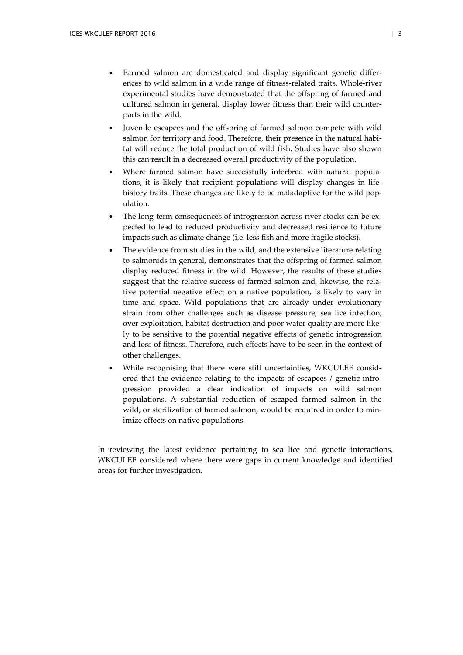- Farmed salmon are domesticated and display significant genetic differences to wild salmon in a wide range of fitness-related traits. Whole-river experimental studies have demonstrated that the offspring of farmed and cultured salmon in general, display lower fitness than their wild counterparts in the wild.
- Juvenile escapees and the offspring of farmed salmon compete with wild salmon for territory and food. Therefore, their presence in the natural habitat will reduce the total production of wild fish. Studies have also shown this can result in a decreased overall productivity of the population.
- Where farmed salmon have successfully interbred with natural populations, it is likely that recipient populations will display changes in lifehistory traits. These changes are likely to be maladaptive for the wild population.
- The long-term consequences of introgression across river stocks can be expected to lead to reduced productivity and decreased resilience to future impacts such as climate change (i.e. less fish and more fragile stocks).
- The evidence from studies in the wild, and the extensive literature relating to salmonids in general, demonstrates that the offspring of farmed salmon display reduced fitness in the wild. However, the results of these studies suggest that the relative success of farmed salmon and, likewise, the relative potential negative effect on a native population, is likely to vary in time and space. Wild populations that are already under evolutionary strain from other challenges such as disease pressure, sea lice infection, over exploitation, habitat destruction and poor water quality are more likely to be sensitive to the potential negative effects of genetic introgression and loss of fitness. Therefore, such effects have to be seen in the context of other challenges.
- While recognising that there were still uncertainties, WKCULEF considered that the evidence relating to the impacts of escapees / genetic introgression provided a clear indication of impacts on wild salmon populations. A substantial reduction of escaped farmed salmon in the wild, or sterilization of farmed salmon, would be required in order to minimize effects on native populations.

In reviewing the latest evidence pertaining to sea lice and genetic interactions, WKCULEF considered where there were gaps in current knowledge and identified areas for further investigation.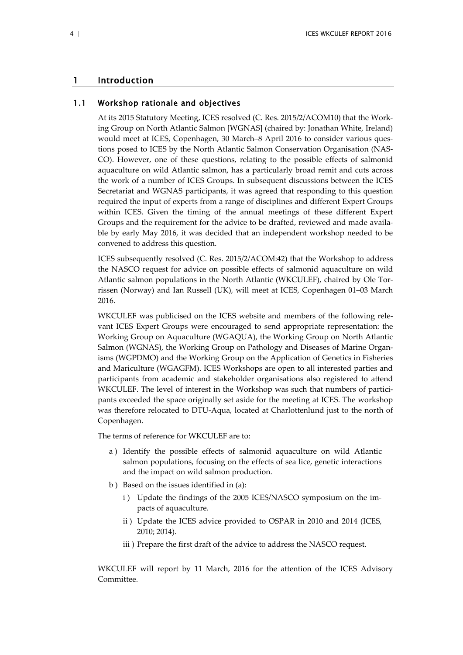## <span id="page-6-0"></span>1 Introduction

## 1.1 Workshop rationale and objectives

<span id="page-6-1"></span>At its 2015 Statutory Meeting, ICES resolved (C. Res. 2015/2/ACOM10) that the Working Group on North Atlantic Salmon [WGNAS] (chaired by: Jonathan White, Ireland) would meet at ICES, Copenhagen, 30 March–8 April 2016 to consider various questions posed to ICES by the North Atlantic Salmon Conservation Organisation (NAS-CO). However, one of these questions, relating to the possible effects of salmonid aquaculture on wild Atlantic salmon, has a particularly broad remit and cuts across the work of a number of ICES Groups. In subsequent discussions between the ICES Secretariat and WGNAS participants, it was agreed that responding to this question required the input of experts from a range of disciplines and different Expert Groups within ICES. Given the timing of the annual meetings of these different Expert Groups and the requirement for the advice to be drafted, reviewed and made available by early May 2016, it was decided that an independent workshop needed to be convened to address this question.

ICES subsequently resolved (C. Res. 2015/2/ACOM:42) that the Workshop to address the NASCO request for advice on possible effects of salmonid aquaculture on wild Atlantic salmon populations in the North Atlantic (WKCULEF), chaired by Ole Torrissen (Norway) and Ian Russell (UK), will meet at ICES, Copenhagen 01–03 March 2016.

WKCULEF was publicised on the ICES website and members of the following relevant ICES Expert Groups were encouraged to send appropriate representation: the Working Group on Aquaculture (WGAQUA), the Working Group on North Atlantic Salmon (WGNAS), the Working Group on Pathology and Diseases of Marine Organisms (WGPDMO) and the Working Group on the Application of Genetics in Fisheries and Mariculture (WGAGFM). ICES Workshops are open to all interested parties and participants from academic and stakeholder organisations also registered to attend WKCULEF. The level of interest in the Workshop was such that numbers of participants exceeded the space originally set aside for the meeting at ICES. The workshop was therefore relocated to DTU-Aqua, located at Charlottenlund just to the north of Copenhagen.

The terms of reference for WKCULEF are to:

- a ) Identify the possible effects of salmonid aquaculture on wild Atlantic salmon populations, focusing on the effects of sea lice, genetic interactions and the impact on wild salmon production.
- b ) Based on the issues identified in (a):
	- i) Update the findings of the 2005 ICES/NASCO symposium on the impacts of aquaculture.
	- ii ) Update the ICES advice provided to OSPAR in 2010 and 2014 (ICES, 2010; 2014).
	- iii ) Prepare the first draft of the advice to address the NASCO request.

WKCULEF will report by 11 March, 2016 for the attention of the ICES Advisory Committee.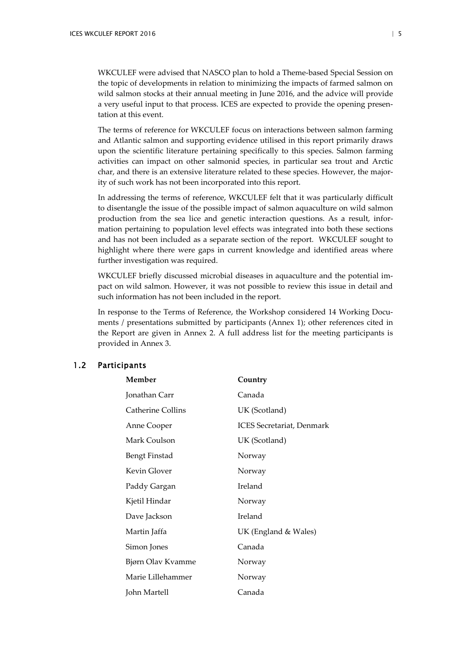WKCULEF were advised that NASCO plan to hold a Theme-based Special Session on the topic of developments in relation to minimizing the impacts of farmed salmon on wild salmon stocks at their annual meeting in June 2016, and the advice will provide a very useful input to that process. ICES are expected to provide the opening presentation at this event.

The terms of reference for WKCULEF focus on interactions between salmon farming and Atlantic salmon and supporting evidence utilised in this report primarily draws upon the scientific literature pertaining specifically to this species. Salmon farming activities can impact on other salmonid species, in particular sea trout and Arctic char, and there is an extensive literature related to these species. However, the majority of such work has not been incorporated into this report.

In addressing the terms of reference, WKCULEF felt that it was particularly difficult to disentangle the issue of the possible impact of salmon aquaculture on wild salmon production from the sea lice and genetic interaction questions. As a result, information pertaining to population level effects was integrated into both these sections and has not been included as a separate section of the report. WKCULEF sought to highlight where there were gaps in current knowledge and identified areas where further investigation was required.

WKCULEF briefly discussed microbial diseases in aquaculture and the potential impact on wild salmon. However, it was not possible to review this issue in detail and such information has not been included in the report.

In response to the Terms of Reference, the Workshop considered 14 Working Documents / presentations submitted by participants (Annex 1); other references cited in the Report are given in Annex 2. A full address list for the meeting participants is provided in Annex 3.

## <span id="page-7-0"></span>1.2 Participants

| Member            | Country                          |  |
|-------------------|----------------------------------|--|
| Jonathan Carr     | Canada                           |  |
| Catherine Collins | UK (Scotland)                    |  |
| Anne Cooper       | <b>ICES</b> Secretariat, Denmark |  |
| Mark Coulson      | UK (Scotland)                    |  |
| Bengt Finstad     | Norway                           |  |
| Kevin Glover      | Norway                           |  |
| Paddy Gargan      | Ireland                          |  |
| Kjetil Hindar     | Norway                           |  |
| Dave Jackson      | Ireland                          |  |
| Martin Jaffa      | UK (England & Wales)             |  |
| Simon Jones       | Canada                           |  |
| Bjørn Olav Kvamme | Norway                           |  |
| Marie Lillehammer | Norway                           |  |
| John Martell      | Canada                           |  |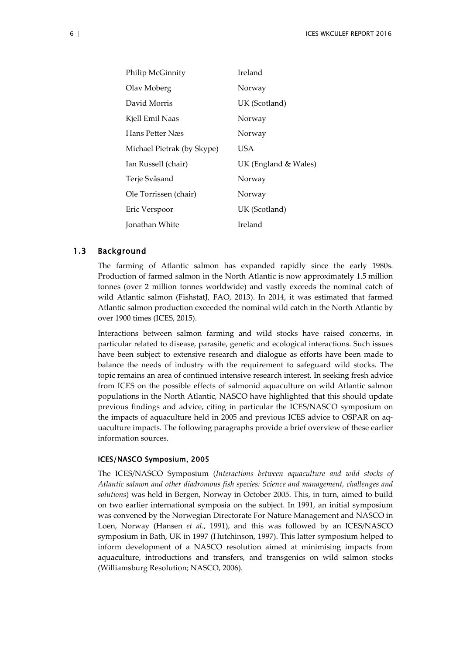| Philip McGinnity           | Ireland              |
|----------------------------|----------------------|
| Olav Moberg                | Norway               |
| David Morris               | UK (Scotland)        |
| Kjell Emil Naas            | Norway               |
| Hans Petter Næs            | Norway               |
| Michael Pietrak (by Skype) | USA                  |
| Ian Russell (chair)        | UK (England & Wales) |
| Terje Svåsand              | Norway               |
| Ole Torrissen (chair)      | Norway               |
| Eric Verspoor              | UK (Scotland)        |
| Jonathan White             | Ireland              |

#### <span id="page-8-0"></span>1.3 Background

The farming of Atlantic salmon has expanded rapidly since the early 1980s. Production of farmed salmon in the North Atlantic is now approximately 1.5 million tonnes (over 2 million tonnes worldwide) and vastly exceeds the nominal catch of wild Atlantic salmon (FishstatJ, FAO, 2013). In 2014, it was estimated that farmed Atlantic salmon production exceeded the nominal wild catch in the North Atlantic by over 1900 times (ICES, 2015).

Interactions between salmon farming and wild stocks have raised concerns, in particular related to disease, parasite, genetic and ecological interactions. Such issues have been subject to extensive research and dialogue as efforts have been made to balance the needs of industry with the requirement to safeguard wild stocks. The topic remains an area of continued intensive research interest. In seeking fresh advice from ICES on the possible effects of salmonid aquaculture on wild Atlantic salmon populations in the North Atlantic, NASCO have highlighted that this should update previous findings and advice, citing in particular the ICES/NASCO symposium on the impacts of aquaculture held in 2005 and previous ICES advice to OSPAR on aquaculture impacts. The following paragraphs provide a brief overview of these earlier information sources.

#### ICES/NASCO Symposium, 2005

The ICES/NASCO Symposium (*Interactions between aquaculture and wild stocks of Atlantic salmon and other diadromous fish species: Science and management, challenges and solutions*) was held in Bergen, Norway in October 2005. This, in turn, aimed to build on two earlier international symposia on the subject. In 1991, an initial symposium was convened by the Norwegian Directorate For Nature Management and NASCO in Loen, Norway (Hansen *et al*., 1991), and this was followed by an ICES/NASCO symposium in Bath, UK in 1997 (Hutchinson, 1997). This latter symposium helped to inform development of a NASCO resolution aimed at minimising impacts from aquaculture, introductions and transfers, and transgenics on wild salmon stocks (Williamsburg Resolution; NASCO, 2006).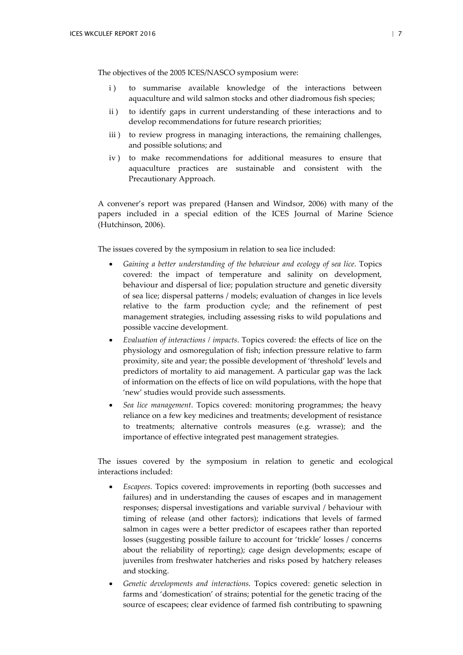The objectives of the 2005 ICES/NASCO symposium were:

- i) to summarise available knowledge of the interactions between aquaculture and wild salmon stocks and other diadromous fish species;
- ii ) to identify gaps in current understanding of these interactions and to develop recommendations for future research priorities;
- iii ) to review progress in managing interactions, the remaining challenges, and possible solutions; and
- iv ) to make recommendations for additional measures to ensure that aquaculture practices are sustainable and consistent with the Precautionary Approach.

A convener's report was prepared (Hansen and Windsor, 2006) with many of the papers included in a special edition of the ICES Journal of Marine Science (Hutchinson, 2006).

The issues covered by the symposium in relation to sea lice included:

- *Gaining a better understanding of the behaviour and ecology of sea lice*. Topics covered: the impact of temperature and salinity on development, behaviour and dispersal of lice; population structure and genetic diversity of sea lice; dispersal patterns / models; evaluation of changes in lice levels relative to the farm production cycle; and the refinement of pest management strategies, including assessing risks to wild populations and possible vaccine development.
- *Evaluation of interactions / impacts*. Topics covered: the effects of lice on the physiology and osmoregulation of fish; infection pressure relative to farm proximity, site and year; the possible development of 'threshold' levels and predictors of mortality to aid management. A particular gap was the lack of information on the effects of lice on wild populations, with the hope that 'new' studies would provide such assessments.
- *Sea lice management*. Topics covered: monitoring programmes; the heavy reliance on a few key medicines and treatments; development of resistance to treatments; alternative controls measures (e.g. wrasse); and the importance of effective integrated pest management strategies.

The issues covered by the symposium in relation to genetic and ecological interactions included:

- *Escapees*. Topics covered: improvements in reporting (both successes and failures) and in understanding the causes of escapes and in management responses; dispersal investigations and variable survival / behaviour with timing of release (and other factors); indications that levels of farmed salmon in cages were a better predictor of escapees rather than reported losses (suggesting possible failure to account for 'trickle' losses / concerns about the reliability of reporting); cage design developments; escape of juveniles from freshwater hatcheries and risks posed by hatchery releases and stocking.
- *Genetic developments and interactions*. Topics covered: genetic selection in farms and 'domestication' of strains; potential for the genetic tracing of the source of escapees; clear evidence of farmed fish contributing to spawning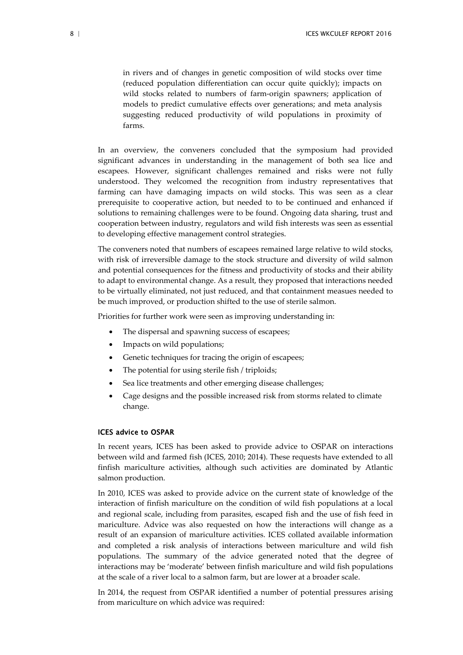in rivers and of changes in genetic composition of wild stocks over time (reduced population differentiation can occur quite quickly); impacts on wild stocks related to numbers of farm-origin spawners; application of models to predict cumulative effects over generations; and meta analysis suggesting reduced productivity of wild populations in proximity of farms.

In an overview, the conveners concluded that the symposium had provided significant advances in understanding in the management of both sea lice and escapees. However, significant challenges remained and risks were not fully understood. They welcomed the recognition from industry representatives that farming can have damaging impacts on wild stocks. This was seen as a clear prerequisite to cooperative action, but needed to to be continued and enhanced if solutions to remaining challenges were to be found. Ongoing data sharing, trust and cooperation between industry, regulators and wild fish interests was seen as essential to developing effective management control strategies.

The conveners noted that numbers of escapees remained large relative to wild stocks, with risk of irreversible damage to the stock structure and diversity of wild salmon and potential consequences for the fitness and productivity of stocks and their ability to adapt to environmental change. As a result, they proposed that interactions needed to be virtually eliminated, not just reduced, and that containment measues needed to be much improved, or production shifted to the use of sterile salmon.

Priorities for further work were seen as improving understanding in:

- The dispersal and spawning success of escapees;
- Impacts on wild populations;
- Genetic techniques for tracing the origin of escapees;
- The potential for using sterile fish / triploids;
- Sea lice treatments and other emerging disease challenges;
- Cage designs and the possible increased risk from storms related to climate change.

#### ICES advice to OSPAR

In recent years, ICES has been asked to provide advice to OSPAR on interactions between wild and farmed fish (ICES, 2010; 2014). These requests have extended to all finfish mariculture activities, although such activities are dominated by Atlantic salmon production.

In 2010, ICES was asked to provide advice on the current state of knowledge of the interaction of finfish mariculture on the condition of wild fish populations at a local and regional scale, including from parasites, escaped fish and the use of fish feed in mariculture. Advice was also requested on how the interactions will change as a result of an expansion of mariculture activities. ICES collated available information and completed a risk analysis of interactions between mariculture and wild fish populations. The summary of the advice generated noted that the degree of interactions may be 'moderate' between finfish mariculture and wild fish populations at the scale of a river local to a salmon farm, but are lower at a broader scale.

In 2014, the request from OSPAR identified a number of potential pressures arising from mariculture on which advice was required: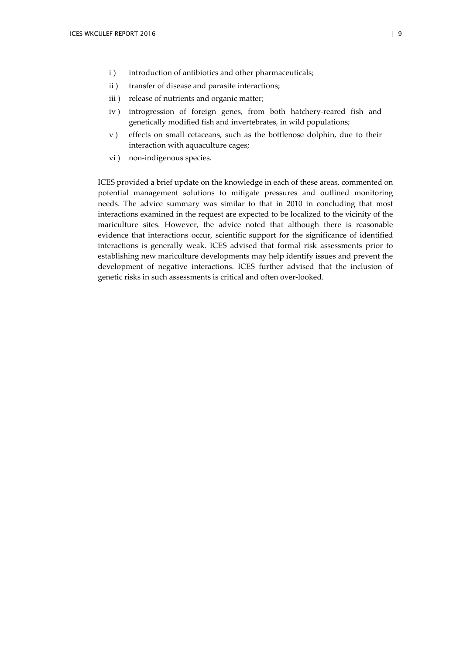- i ) introduction of antibiotics and other pharmaceuticals;
- ii ) transfer of disease and parasite interactions;
- iii) release of nutrients and organic matter;
- iv ) introgression of foreign genes, from both hatchery-reared fish and genetically modified fish and invertebrates, in wild populations;
- v ) effects on small cetaceans, such as the bottlenose dolphin, due to their interaction with aquaculture cages;
- vi ) non-indigenous species.

ICES provided a brief update on the knowledge in each of these areas, commented on potential management solutions to mitigate pressures and outlined monitoring needs. The advice summary was similar to that in 2010 in concluding that most interactions examined in the request are expected to be localized to the vicinity of the mariculture sites. However, the advice noted that although there is reasonable evidence that interactions occur, scientific support for the significance of identified interactions is generally weak. ICES advised that formal risk assessments prior to establishing new mariculture developments may help identify issues and prevent the development of negative interactions. ICES further advised that the inclusion of genetic risks in such assessments is critical and often over-looked.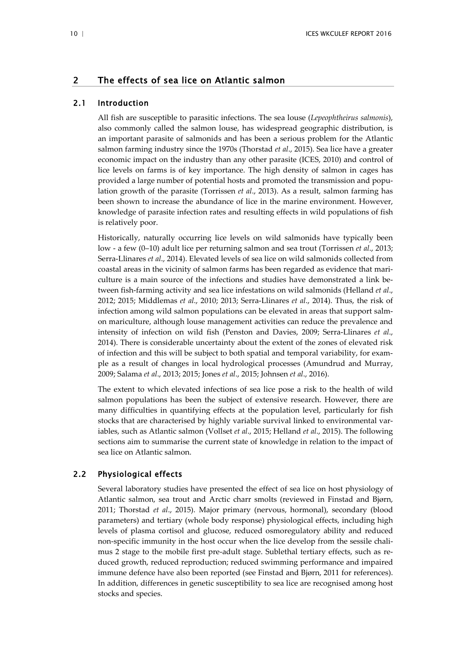## <span id="page-12-0"></span>2 The effects of sea lice on Atlantic salmon

## 2.1 Introduction

<span id="page-12-1"></span>All fish are susceptible to parasitic infections. The sea louse (*Lepeophtheirus salmonis*), also commonly called the salmon louse, has widespread geographic distribution, is an important parasite of salmonids and has been a serious problem for the Atlantic salmon farming industry since the 1970s (Thorstad *et al*., 2015). Sea lice have a greater economic impact on the industry than any other parasite (ICES, 2010) and control of lice levels on farms is of key importance. The high density of salmon in cages has provided a large number of potential hosts and promoted the transmission and population growth of the parasite (Torrissen *et al*., 2013). As a result, salmon farming has been shown to increase the abundance of lice in the marine environment. However, knowledge of parasite infection rates and resulting effects in wild populations of fish is relatively poor.

Historically, naturally occurring lice levels on wild salmonids have typically been low - a few (0–10) adult lice per returning salmon and sea trout (Torrissen *et al*., 2013; Serra-Llinares *et al*., 2014). Elevated levels of sea lice on wild salmonids collected from coastal areas in the vicinity of salmon farms has been regarded as evidence that mariculture is a main source of the infections and studies have demonstrated a link between fish-farming activity and sea lice infestations on wild salmonids (Helland *et al*., 2012; 2015; Middlemas *et al*., 2010; 2013; Serra-Llinares *et al*., 2014). Thus, the risk of infection among wild salmon populations can be elevated in areas that support salmon mariculture, although louse management activities can reduce the prevalence and intensity of infection on wild fish (Penston and Davies, 2009; Serra-Llinares *et al*., 2014). There is considerable uncertainty about the extent of the zones of elevated risk of infection and this will be subject to both spatial and temporal variability, for example as a result of changes in local hydrological processes (Amundrud and Murray, 2009; Salama *et al*., 2013; 2015; Jones *et al*., 2015; Johnsen *et al*., 2016).

The extent to which elevated infections of sea lice pose a risk to the health of wild salmon populations has been the subject of extensive research. However, there are many difficulties in quantifying effects at the population level, particularly for fish stocks that are characterised by highly variable survival linked to environmental variables, such as Atlantic salmon (Vollset *et al*., 2015; Helland *et al*., 2015). The following sections aim to summarise the current state of knowledge in relation to the impact of sea lice on Atlantic salmon.

## 2.2 Physiological effects

<span id="page-12-2"></span>Several laboratory studies have presented the effect of sea lice on host physiology of Atlantic salmon, sea trout and Arctic charr smolts (reviewed in Finstad and Bjørn, 2011; Thorstad *et al*., 2015). Major primary (nervous, hormonal), secondary (blood parameters) and tertiary (whole body response) physiological effects, including high levels of plasma cortisol and glucose, reduced osmoregulatory ability and reduced non-specific immunity in the host occur when the lice develop from the sessile chalimus 2 stage to the mobile first pre-adult stage. Sublethal tertiary effects, such as reduced growth, reduced reproduction; reduced swimming performance and impaired immune defence have also been reported (see Finstad and Bjørn, 2011 for references). In addition, differences in genetic susceptibility to sea lice are recognised among host stocks and species.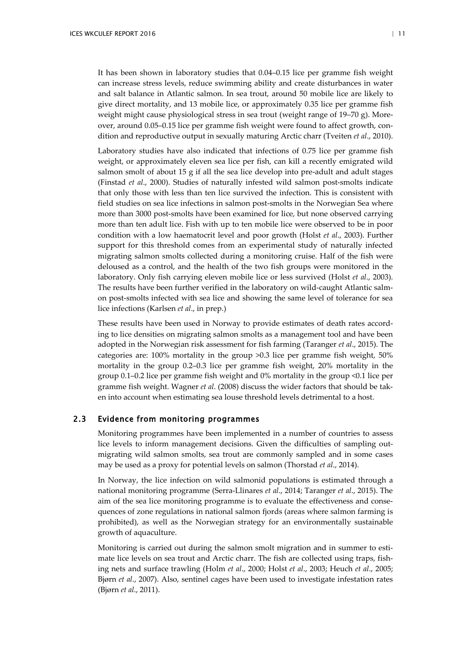It has been shown in laboratory studies that 0.04–0.15 lice per gramme fish weight can increase stress levels, reduce swimming ability and create disturbances in water and salt balance in Atlantic salmon. In sea trout, around 50 mobile lice are likely to give direct mortality, and 13 mobile lice, or approximately 0.35 lice per gramme fish weight might cause physiological stress in sea trout (weight range of 19–70 g). Moreover, around 0.05–0.15 lice per gramme fish weight were found to affect growth, condition and reproductive output in sexually maturing Arctic charr (Tveiten *et al*., 2010).

Laboratory studies have also indicated that infections of 0.75 lice per gramme fish weight, or approximately eleven sea lice per fish, can kill a recently emigrated wild salmon smolt of about 15 g if all the sea lice develop into pre-adult and adult stages (Finstad *et al*., 2000). Studies of naturally infested wild salmon post-smolts indicate that only those with less than ten lice survived the infection. This is consistent with field studies on sea lice infections in salmon post-smolts in the Norwegian Sea where more than 3000 post-smolts have been examined for lice, but none observed carrying more than ten adult lice. Fish with up to ten mobile lice were observed to be in poor condition with a low haematocrit level and poor growth (Holst *et al*., 2003). Further support for this threshold comes from an experimental study of naturally infected migrating salmon smolts collected during a monitoring cruise. Half of the fish were deloused as a control, and the health of the two fish groups were monitored in the laboratory. Only fish carrying eleven mobile lice or less survived (Holst *et al*., 2003). The results have been further verified in the laboratory on wild-caught Atlantic salmon post-smolts infected with sea lice and showing the same level of tolerance for sea lice infections (Karlsen *et al*., in prep.)

These results have been used in Norway to provide estimates of death rates according to lice densities on migrating salmon smolts as a management tool and have been adopted in the Norwegian risk assessment for fish farming (Taranger *et al*., 2015). The categories are: 100% mortality in the group >0.3 lice per gramme fish weight, 50% mortality in the group 0.2–0.3 lice per gramme fish weight, 20% mortality in the group 0.1–0.2 lice per gramme fish weight and 0% mortality in the group <0.1 lice per gramme fish weight. Wagner *et al*. (2008) discuss the wider factors that should be taken into account when estimating sea louse threshold levels detrimental to a host.

## 2.3 Evidence from monitoring programmes

<span id="page-13-0"></span>Monitoring programmes have been implemented in a number of countries to assess lice levels to inform management decisions. Given the difficulties of sampling outmigrating wild salmon smolts, sea trout are commonly sampled and in some cases may be used as a proxy for potential levels on salmon (Thorstad *et al*., 2014).

In Norway, the lice infection on wild salmonid populations is estimated through a national monitoring programme (Serra-Llinares *et al*., 2014; Taranger *et al*., 2015). The aim of the sea lice monitoring programme is to evaluate the effectiveness and consequences of zone regulations in national salmon fjords (areas where salmon farming is prohibited), as well as the Norwegian strategy for an environmentally sustainable growth of aquaculture.

Monitoring is carried out during the salmon smolt migration and in summer to estimate lice levels on sea trout and Arctic charr. The fish are collected using traps, fishing nets and surface trawling (Holm *et al*., 2000; Holst *et al*., 2003; Heuch *et al*., 2005; Bjørn *et al*., 2007). Also, sentinel cages have been used to investigate infestation rates (Bjørn *et al*., 2011).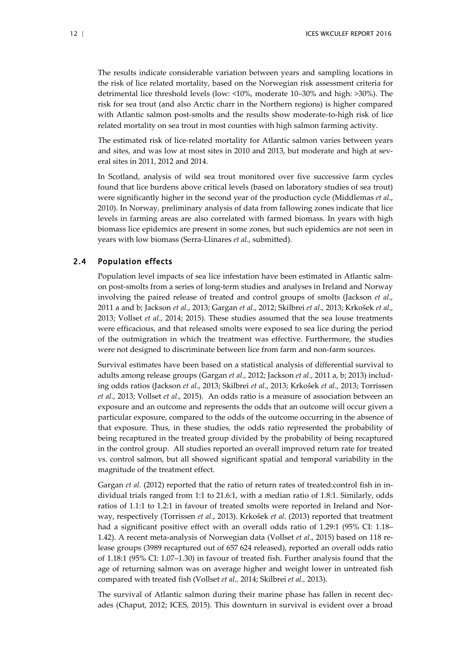The results indicate considerable variation between years and sampling locations in the risk of lice related mortality, based on the Norwegian risk assessment criteria for detrimental lice threshold levels (low: <10%, moderate 10–30% and high: >30%). The risk for sea trout (and also Arctic charr in the Northern regions) is higher compared with Atlantic salmon post-smolts and the results show moderate-to-high risk of lice related mortality on sea trout in most counties with high salmon farming activity.

The estimated risk of lice-related mortality for Atlantic salmon varies between years and sites, and was low at most sites in 2010 and 2013, but moderate and high at several sites in 2011, 2012 and 2014.

In Scotland, analysis of wild sea trout monitored over five successive farm cycles found that lice burdens above critical levels (based on laboratory studies of sea trout) were significantly higher in the second year of the production cycle (Middlemas *et al*., 2010). In Norway, preliminary analysis of data from fallowing zones indicate that lice levels in farming areas are also correlated with farmed biomass. In years with high biomass lice epidemics are present in some zones, but such epidemics are not seen in years with low biomass (Serra-Llinares *et al*., submitted).

## 2.4 Population effects

<span id="page-14-0"></span>Population level impacts of sea lice infestation have been estimated in Atlantic salmon post-smolts from a series of long-term studies and analyses in Ireland and Norway involving the paired release of treated and control groups of smolts (Jackson *et al*., 2011 a and b; Jackson *et al*., 2013; Gargan *et al*., 2012; Skilbrei *et al*., 2013; Krkošek *et al*., 2013; Vollset *et al*., 2014; 2015). These studies assumed that the sea louse treatments were efficacious, and that released smolts were exposed to sea lice during the period of the outmigration in which the treatment was effective. Furthermore, the studies were not designed to discriminate between lice from farm and non-farm sources.

Survival estimates have been based on a statistical analysis of differential survival to adults among release groups (Gargan *et al*., 2012; Jackson *et al*., 2011 a, b; 2013) including odds ratios (Jackson *et al*., 2013; Skilbrei *et al*., 2013; Krkošek *et al*., 2013; Torrissen *et al*., 2013; Vollset *et al*., 2015). An odds ratio is a measure of association between an exposure and an outcome and represents the odds that an outcome will occur given a particular exposure, compared to the odds of the outcome occurring in the absence of that exposure. Thus, in these studies, the odds ratio represented the probability of being recaptured in the treated group divided by the probability of being recaptured in the control group. All studies reported an overall improved return rate for treated vs. control salmon, but all showed significant spatial and temporal variability in the magnitude of the treatment effect.

Gargan *et al.* (2012) reported that the ratio of return rates of treated: control fish in individual trials ranged from 1:1 to 21.6:1, with a median ratio of 1.8:1. Similarly, odds ratios of 1.1:1 to 1.2:1 in favour of treated smolts were reported in Ireland and Norway, respectively (Torrissen *et al*., 2013). Krkošek *et al*. (2013) reported that treatment had a significant positive effect with an overall odds ratio of 1.29:1 (95% CI: 1.18– 1.42). A recent meta-analysis of Norwegian data (Vollset *et al*., 2015) based on 118 release groups (3989 recaptured out of 657 624 released), reported an overall odds ratio of 1.18:1 (95% CI: 1.07–1.30) in favour of treated fish. Further analysis found that the age of returning salmon was on average higher and weight lower in untreated fish compared with treated fish (Vollset *et al.,* 2014; Skilbrei *et al.,* 2013).

The survival of Atlantic salmon during their marine phase has fallen in recent decades (Chaput, 2012; ICES, 2015). This downturn in survival is evident over a broad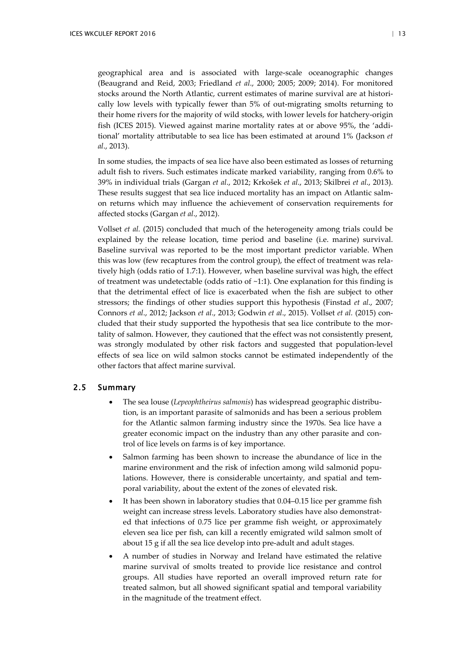geographical area and is associated with large-scale oceanographic changes (Beaugrand and Reid, 2003; Friedland *et al*., 2000; 2005; 2009; 2014). For monitored stocks around the North Atlantic, current estimates of marine survival are at historically low levels with typically fewer than 5% of out-migrating smolts returning to their home rivers for the majority of wild stocks, with lower levels for hatchery-origin fish (ICES 2015). Viewed against marine mortality rates at or above 95%, the 'additional' mortality attributable to sea lice has been estimated at around 1% (Jackson *et al*., 2013).

In some studies, the impacts of sea lice have also been estimated as losses of returning adult fish to rivers. Such estimates indicate marked variability, ranging from 0.6% to 39% in individual trials (Gargan *et al*., 2012; Krkošek *et al*., 2013; Skilbrei *et al*., 2013). These results suggest that sea lice induced mortality has an impact on Atlantic salmon returns which may influence the achievement of conservation requirements for affected stocks (Gargan *et al*., 2012).

Vollset *et al.* (2015) concluded that much of the heterogeneity among trials could be explained by the release location, time period and baseline (i.e. marine) survival. Baseline survival was reported to be the most important predictor variable. When this was low (few recaptures from the control group), the effect of treatment was relatively high (odds ratio of 1.7:1). However, when baseline survival was high, the effect of treatment was undetectable (odds ratio of  $~1:1$ ). One explanation for this finding is that the detrimental effect of lice is exacerbated when the fish are subject to other stressors; the findings of other studies support this hypothesis (Finstad *et al*., 2007; Connors *et al*., 2012; Jackson *et al*., 2013; Godwin *et al*., 2015). Vollset *et al.* (2015) concluded that their study supported the hypothesis that sea lice contribute to the mortality of salmon. However, they cautioned that the effect was not consistently present, was strongly modulated by other risk factors and suggested that population-level effects of sea lice on wild salmon stocks cannot be estimated independently of the other factors that affect marine survival.

## <span id="page-15-0"></span>2.5 Summary

- The sea louse (*Lepeophtheirus salmonis*) has widespread geographic distribution, is an important parasite of salmonids and has been a serious problem for the Atlantic salmon farming industry since the 1970s. Sea lice have a greater economic impact on the industry than any other parasite and control of lice levels on farms is of key importance.
- Salmon farming has been shown to increase the abundance of lice in the marine environment and the risk of infection among wild salmonid populations. However, there is considerable uncertainty, and spatial and temporal variability, about the extent of the zones of elevated risk.
- It has been shown in laboratory studies that 0.04–0.15 lice per gramme fish weight can increase stress levels. Laboratory studies have also demonstrated that infections of 0.75 lice per gramme fish weight, or approximately eleven sea lice per fish, can kill a recently emigrated wild salmon smolt of about 15 g if all the sea lice develop into pre-adult and adult stages.
- A number of studies in Norway and Ireland have estimated the relative marine survival of smolts treated to provide lice resistance and control groups. All studies have reported an overall improved return rate for treated salmon, but all showed significant spatial and temporal variability in the magnitude of the treatment effect.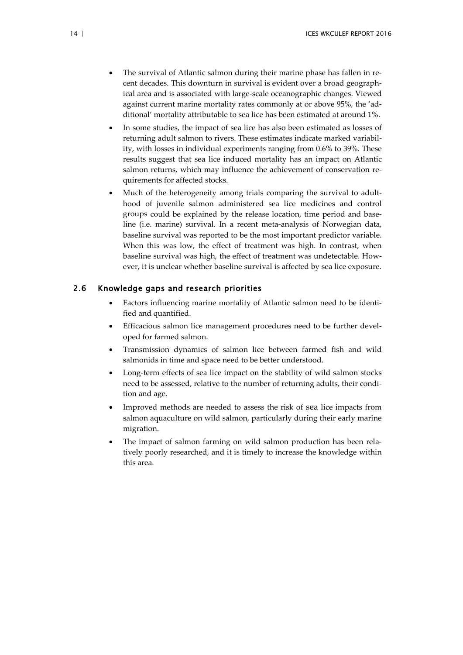- The survival of Atlantic salmon during their marine phase has fallen in recent decades. This downturn in survival is evident over a broad geographical area and is associated with large-scale oceanographic changes. Viewed against current marine mortality rates commonly at or above 95%, the 'additional' mortality attributable to sea lice has been estimated at around 1%.
- In some studies, the impact of sea lice has also been estimated as losses of returning adult salmon to rivers. These estimates indicate marked variability, with losses in individual experiments ranging from 0.6% to 39%. These results suggest that sea lice induced mortality has an impact on Atlantic salmon returns, which may influence the achievement of conservation requirements for affected stocks.
- Much of the heterogeneity among trials comparing the survival to adulthood of juvenile salmon administered sea lice medicines and control groups could be explained by the release location, time period and baseline (i.e. marine) survival. In a recent meta-analysis of Norwegian data, baseline survival was reported to be the most important predictor variable. When this was low, the effect of treatment was high. In contrast, when baseline survival was high, the effect of treatment was undetectable. However, it is unclear whether baseline survival is affected by sea lice exposure.

## <span id="page-16-0"></span>2.6 Knowledge gaps and research priorities

- Factors influencing marine mortality of Atlantic salmon need to be identified and quantified.
- Efficacious salmon lice management procedures need to be further developed for farmed salmon.
- Transmission dynamics of salmon lice between farmed fish and wild salmonids in time and space need to be better understood.
- Long-term effects of sea lice impact on the stability of wild salmon stocks need to be assessed, relative to the number of returning adults, their condition and age.
- Improved methods are needed to assess the risk of sea lice impacts from salmon aquaculture on wild salmon, particularly during their early marine migration.
- The impact of salmon farming on wild salmon production has been relatively poorly researched, and it is timely to increase the knowledge within this area.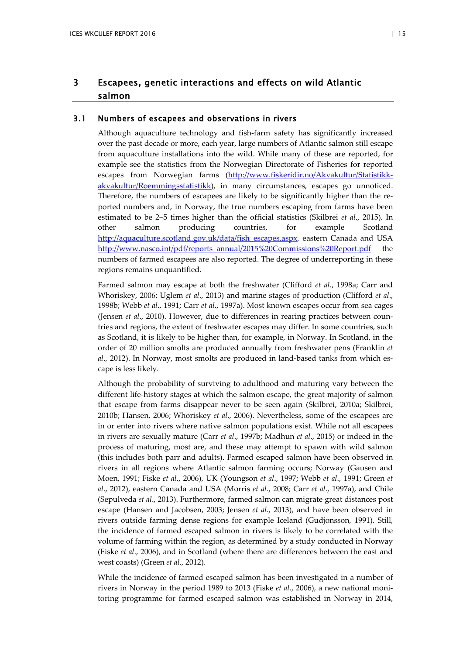## <span id="page-17-0"></span>3 Escapees, genetic interactions and effects on wild Atlantic salmon

## 3.1 Numbers of escapees and observations in rivers

<span id="page-17-1"></span>Although aquaculture technology and fish-farm safety has significantly increased over the past decade or more, each year, large numbers of Atlantic salmon still escape from aquaculture installations into the wild. While many of these are reported, for example see the statistics from the Norwegian Directorate of Fisheries for reported escapes from Norwegian farms [\(http://www.fiskeridir.no/Akvakultur/Statistikk](http://www.fiskeridir.no/Akvakultur/Statistikk-akvakultur/Roemmingsstatistikk)[akvakultur/Roemmingsstatistikk\)](http://www.fiskeridir.no/Akvakultur/Statistikk-akvakultur/Roemmingsstatistikk), in many circumstances, escapes go unnoticed. Therefore, the numbers of escapees are likely to be significantly higher than the reported numbers and, in Norway, the true numbers escaping from farms have been estimated to be 2–5 times higher than the official statistics (Skilbrei *et al*., 2015). In other salmon producing countries, for example Scotland [http://aquaculture.scotland.gov.uk/data/fish\\_escapes.aspx,](http://aquaculture.scotland.gov.uk/data/fish_escapes.aspx) eastern Canada and USA [http://www.nasco.int/pdf/reports\\_annual/2015%20Commissions%20Report.pdf](http://www.nasco.int/pdf/reports_annual/2015%20Commissions%20Report.pdf) the numbers of farmed escapees are also reported. The degree of underreporting in these regions remains unquantified.

Farmed salmon may escape at both the freshwater (Clifford *et al*., 1998a; Carr and Whoriskey, 2006; Uglem *et al*., 2013) and marine stages of production (Clifford *et al*., 1998b; Webb *et al*., 1991; Carr *et al*., 1997a). Most known escapes occur from sea cages (Jensen *et al*., 2010). However, due to differences in rearing practices between countries and regions, the extent of freshwater escapes may differ. In some countries, such as Scotland, it is likely to be higher than, for example, in Norway. In Scotland, in the order of 20 million smolts are produced annually from freshwater pens (Franklin *et al*., 2012). In Norway, most smolts are produced in land-based tanks from which escape is less likely.

Although the probability of surviving to adulthood and maturing vary between the different life-history stages at which the salmon escape, the great majority of salmon that escape from farms disappear never to be seen again (Skilbrei, 2010a; Skilbrei, 2010b; Hansen, 2006; Whoriskey *et al*., 2006). Nevertheless, some of the escapees are in or enter into rivers where native salmon populations exist. While not all escapees in rivers are sexually mature (Carr *et al*., 1997b; Madhun *et al*., 2015) or indeed in the process of maturing, most are, and these may attempt to spawn with wild salmon (this includes both parr and adults). Farmed escaped salmon have been observed in rivers in all regions where Atlantic salmon farming occurs; Norway (Gausen and Moen, 1991; Fiske *et al*., 2006), UK (Youngson *et al*., 1997; Webb *et al*., 1991; Green *et al*., 2012), eastern Canada and USA (Morris *et al*., 2008; Carr *et al*., 1997a), and Chile (Sepulveda *et al*., 2013). Furthermore, farmed salmon can migrate great distances post escape (Hansen and Jacobsen, 2003; Jensen *et al*., 2013), and have been observed in rivers outside farming dense regions for example Iceland (Gudjonsson, 1991). Still, the incidence of farmed escaped salmon in rivers is likely to be correlated with the volume of farming within the region, as determined by a study conducted in Norway (Fiske *et al*., 2006), and in Scotland (where there are differences between the east and west coasts) (Green *et al*., 2012).

While the incidence of farmed escaped salmon has been investigated in a number of rivers in Norway in the period 1989 to 2013 (Fiske *et al*., 2006), a new national monitoring programme for farmed escaped salmon was established in Norway in 2014,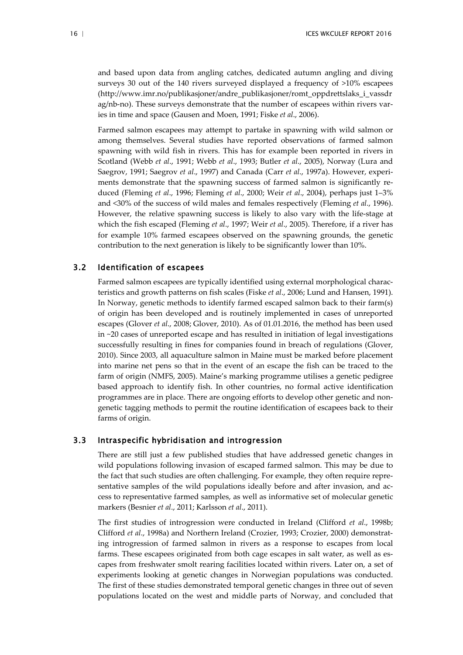and based upon data from angling catches, dedicated autumn angling and diving surveys 30 out of the 140 rivers surveyed displayed a frequency of >10% escapees (http://www.imr.no/publikasjoner/andre\_publikasjoner/romt\_oppdrettslaks\_i\_vassdr ag/nb-no). These surveys demonstrate that the number of escapees within rivers varies in time and space (Gausen and Moen, 1991; Fiske *et al*., 2006).

Farmed salmon escapees may attempt to partake in spawning with wild salmon or among themselves. Several studies have reported observations of farmed salmon spawning with wild fish in rivers. This has for example been reported in rivers in Scotland (Webb *et al*., 1991; Webb *et al*., 1993; Butler *et al*., 2005), Norway (Lura and Saegrov, 1991; Saegrov *et al*., 1997) and Canada (Carr *et al*., 1997a). However, experiments demonstrate that the spawning success of farmed salmon is significantly reduced (Fleming *et al*., 1996; Fleming *et al*., 2000; Weir *et al*., 2004), perhaps just 1–3% and <30% of the success of wild males and females respectively (Fleming *et al*., 1996). However, the relative spawning success is likely to also vary with the life-stage at which the fish escaped (Fleming *et al*., 1997; Weir *et al*., 2005). Therefore, if a river has for example 10% farmed escapees observed on the spawning grounds, the genetic contribution to the next generation is likely to be significantly lower than 10%.

## 3.2 Identification of escapees

<span id="page-18-0"></span>Farmed salmon escapees are typically identified using external morphological characteristics and growth patterns on fish scales (Fiske *et al*., 2006; Lund and Hansen, 1991). In Norway, genetic methods to identify farmed escaped salmon back to their farm(s) of origin has been developed and is routinely implemented in cases of unreported escapes (Glover *et al*., 2008; Glover, 2010). As of 01.01.2016, the method has been used in ~20 cases of unreported escape and has resulted in initiation of legal investigations successfully resulting in fines for companies found in breach of regulations (Glover, 2010). Since 2003, all aquaculture salmon in Maine must be marked before placement into marine net pens so that in the event of an escape the fish can be traced to the farm of origin (NMFS, 2005). Maine's marking programme utilises a genetic pedigree based approach to identify fish. In other countries, no formal active identification programmes are in place. There are ongoing efforts to develop other genetic and nongenetic tagging methods to permit the routine identification of escapees back to their farms of origin.

## 3.3 Intraspecific hybridisation and introgression

<span id="page-18-1"></span>There are still just a few published studies that have addressed genetic changes in wild populations following invasion of escaped farmed salmon. This may be due to the fact that such studies are often challenging. For example, they often require representative samples of the wild populations ideally before and after invasion, and access to representative farmed samples, as well as informative set of molecular genetic markers (Besnier *et al*., 2011; Karlsson *et al*., 2011).

The first studies of introgression were conducted in Ireland (Clifford *et al*., 1998b; Clifford *et al*., 1998a) and Northern Ireland (Crozier, 1993; Crozier, 2000) demonstrating introgression of farmed salmon in rivers as a response to escapes from local farms. These escapees originated from both cage escapes in salt water, as well as escapes from freshwater smolt rearing facilities located within rivers. Later on, a set of experiments looking at genetic changes in Norwegian populations was conducted. The first of these studies demonstrated temporal genetic changes in three out of seven populations located on the west and middle parts of Norway, and concluded that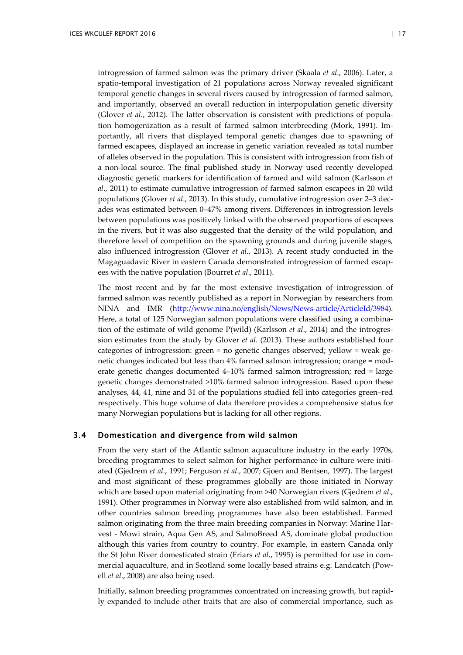introgression of farmed salmon was the primary driver (Skaala *et al*., 2006). Later, a spatio-temporal investigation of 21 populations across Norway revealed significant temporal genetic changes in several rivers caused by introgression of farmed salmon, and importantly, observed an overall reduction in interpopulation genetic diversity (Glover *et al*., 2012). The latter observation is consistent with predictions of population homogenization as a result of farmed salmon interbreeding (Mork, 1991). Importantly, all rivers that displayed temporal genetic changes due to spawning of farmed escapees, displayed an increase in genetic variation revealed as total number of alleles observed in the population. This is consistent with introgression from fish of a non-local source. The final published study in Norway used recently developed diagnostic genetic markers for identification of farmed and wild salmon (Karlsson *et al*., 2011) to estimate cumulative introgression of farmed salmon escapees in 20 wild populations (Glover *et al*., 2013). In this study, cumulative introgression over 2–3 decades was estimated between 0–47% among rivers. Differences in introgression levels between populations was positively linked with the observed proportions of escapees in the rivers, but it was also suggested that the density of the wild population, and therefore level of competition on the spawning grounds and during juvenile stages, also influenced introgression (Glover *et al*., 2013). A recent study conducted in the Magaguadavic River in eastern Canada demonstrated introgression of farmed escapees with the native population (Bourret *et al*., 2011).

The most recent and by far the most extensive investigation of introgression of farmed salmon was recently published as a report in Norwegian by researchers from NINA and IMR [\(http://www.nina.no/english/News/News-article/ArticleId/3984\)](http://www.nina.no/english/News/News-article/ArticleId/3984). Here, a total of 125 Norwegian salmon populations were classified using a combination of the estimate of wild genome P(wild) (Karlsson *et al*., 2014) and the introgression estimates from the study by Glover *et al*. (2013). These authors established four categories of introgression: green = no genetic changes observed; yellow = weak genetic changes indicated but less than 4% farmed salmon introgression; orange = moderate genetic changes documented 4–10% farmed salmon introgression; red = large genetic changes demonstrated >10% farmed salmon introgression. Based upon these analyses, 44, 41, nine and 31 of the populations studied fell into categories green–red respectively. This huge volume of data therefore provides a comprehensive status for many Norwegian populations but is lacking for all other regions.

## 3.4 Domestication and divergence from wild salmon

<span id="page-19-0"></span>From the very start of the Atlantic salmon aquaculture industry in the early 1970s, breeding programmes to select salmon for higher performance in culture were initiated (Gjedrem *et al*., 1991; Ferguson *et al*., 2007; Gjoen and Bentsen, 1997). The largest and most significant of these programmes globally are those initiated in Norway which are based upon material originating from >40 Norwegian rivers (Gjedrem *et al*., 1991). Other programmes in Norway were also established from wild salmon, and in other countries salmon breeding programmes have also been established. Farmed salmon originating from the three main breeding companies in Norway: Marine Harvest - Mowi strain, Aqua Gen AS, and SalmoBreed AS, dominate global production although this varies from country to country. For example, in eastern Canada only the St John River domesticated strain (Friars *et al*., 1995) is permitted for use in commercial aquaculture, and in Scotland some locally based strains e.g. Landcatch (Powell *et al*., 2008) are also being used.

Initially, salmon breeding programmes concentrated on increasing growth, but rapidly expanded to include other traits that are also of commercial importance, such as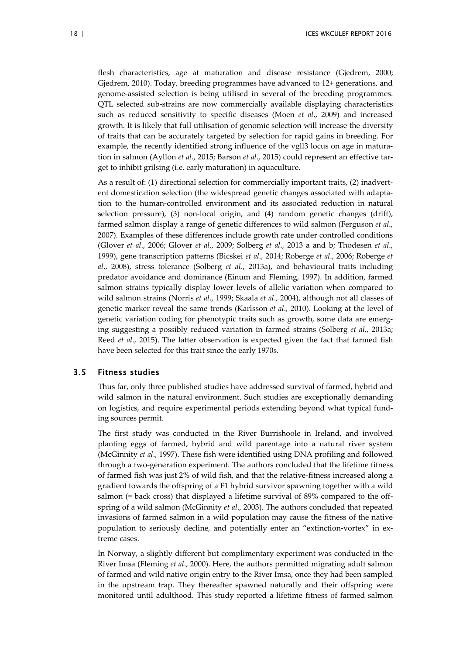flesh characteristics, age at maturation and disease resistance (Gjedrem, 2000; Gjedrem, 2010). Today, breeding programmes have advanced to 12+ generations, and genome-assisted selection is being utilised in several of the breeding programmes. QTL selected sub-strains are now commercially available displaying characteristics such as reduced sensitivity to specific diseases (Moen *et al*., 2009) and increased growth. It is likely that full utilisation of genomic selection will increase the diversity of traits that can be accurately targeted by selection for rapid gains in breeding. For example, the recently identified strong influence of the vgll3 locus on age in maturation in salmon (Ayllon *et al*., 2015; Barson *et al*., 2015) could represent an effective target to inhibit grilsing (i.e. early maturation) in aquaculture.

As a result of: (1) directional selection for commercially important traits, (2) inadvertent domestication selection (the widespread genetic changes associated with adaptation to the human-controlled environment and its associated reduction in natural selection pressure), (3) non-local origin, and (4) random genetic changes (drift), farmed salmon display a range of genetic differences to wild salmon (Ferguson *et al*., 2007). Examples of these differences include growth rate under controlled conditions (Glover *et al*., 2006; Glover *et al*., 2009; Solberg *et al*., 2013 a and b; Thodesen *et al*., 1999), gene transcription patterns (Bicskei *et al*., 2014; Roberge *et al*., 2006; Roberge *et al*., 2008), stress tolerance (Solberg *et al*., 2013a), and behavioural traits including predator avoidance and dominance (Einum and Fleming, 1997). In addition, farmed salmon strains typically display lower levels of allelic variation when compared to wild salmon strains (Norris *et al*., 1999; Skaala *et al*., 2004), although not all classes of genetic marker reveal the same trends (Karlsson *et al*., 2010). Looking at the level of genetic variation coding for phenotypic traits such as growth, some data are emerging suggesting a possibly reduced variation in farmed strains (Solberg *et al*., 2013a; Reed *et al*., 2015). The latter observation is expected given the fact that farmed fish have been selected for this trait since the early 1970s.

## 3.5 Fitness studies

<span id="page-20-0"></span>Thus far, only three published studies have addressed survival of farmed, hybrid and wild salmon in the natural environment. Such studies are exceptionally demanding on logistics, and require experimental periods extending beyond what typical funding sources permit.

The first study was conducted in the River Burrishoole in Ireland, and involved planting eggs of farmed, hybrid and wild parentage into a natural river system (McGinnity *et al*., 1997). These fish were identified using DNA profiling and followed through a two-generation experiment. The authors concluded that the lifetime fitness of farmed fish was just 2% of wild fish, and that the relative-fitness increased along a gradient towards the offspring of a F1 hybrid survivor spawning together with a wild salmon (= back cross) that displayed a lifetime survival of 89% compared to the offspring of a wild salmon (McGinnity *et al*., 2003). The authors concluded that repeated invasions of farmed salmon in a wild population may cause the fitness of the native population to seriously decline, and potentially enter an "extinction-vortex" in extreme cases.

In Norway, a slightly different but complimentary experiment was conducted in the River Imsa (Fleming *et al*., 2000). Here, the authors permitted migrating adult salmon of farmed and wild native origin entry to the River Imsa, once they had been sampled in the upstream trap. They thereafter spawned naturally and their offspring were monitored until adulthood. This study reported a lifetime fitness of farmed salmon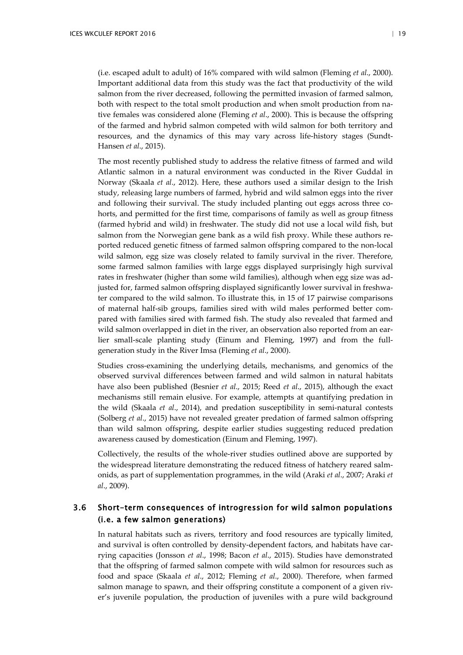(i.e. escaped adult to adult) of 16% compared with wild salmon (Fleming *et al*., 2000). Important additional data from this study was the fact that productivity of the wild salmon from the river decreased, following the permitted invasion of farmed salmon, both with respect to the total smolt production and when smolt production from native females was considered alone (Fleming *et al*., 2000). This is because the offspring of the farmed and hybrid salmon competed with wild salmon for both territory and resources, and the dynamics of this may vary across life-history stages (Sundt-Hansen *et al*., 2015).

The most recently published study to address the relative fitness of farmed and wild Atlantic salmon in a natural environment was conducted in the River Guddal in Norway (Skaala *et al*., 2012). Here, these authors used a similar design to the Irish study, releasing large numbers of farmed, hybrid and wild salmon eggs into the river and following their survival. The study included planting out eggs across three cohorts, and permitted for the first time, comparisons of family as well as group fitness (farmed hybrid and wild) in freshwater. The study did not use a local wild fish, but salmon from the Norwegian gene bank as a wild fish proxy. While these authors reported reduced genetic fitness of farmed salmon offspring compared to the non-local wild salmon, egg size was closely related to family survival in the river. Therefore, some farmed salmon families with large eggs displayed surprisingly high survival rates in freshwater (higher than some wild families), although when egg size was adjusted for, farmed salmon offspring displayed significantly lower survival in freshwater compared to the wild salmon. To illustrate this, in 15 of 17 pairwise comparisons of maternal half-sib groups, families sired with wild males performed better compared with families sired with farmed fish. The study also revealed that farmed and wild salmon overlapped in diet in the river, an observation also reported from an earlier small-scale planting study (Einum and Fleming, 1997) and from the fullgeneration study in the River Imsa (Fleming *et al*., 2000).

Studies cross-examining the underlying details, mechanisms, and genomics of the observed survival differences between farmed and wild salmon in natural habitats have also been published (Besnier *et al*., 2015; Reed *et al*., 2015), although the exact mechanisms still remain elusive. For example, attempts at quantifying predation in the wild (Skaala *et al*., 2014), and predation susceptibility in semi-natural contests (Solberg *et al*., 2015) have not revealed greater predation of farmed salmon offspring than wild salmon offspring, despite earlier studies suggesting reduced predation awareness caused by domestication (Einum and Fleming, 1997).

Collectively, the results of the whole-river studies outlined above are supported by the widespread literature demonstrating the reduced fitness of hatchery reared salmonids, as part of supplementation programmes, in the wild (Araki *et al*., 2007; Araki *et al*., 2009).

## <span id="page-21-0"></span>3.6 Short-term consequences of introgression for wild salmon populations (i.e. a few salmon generations)

In natural habitats such as rivers, territory and food resources are typically limited, and survival is often controlled by density-dependent factors, and habitats have carrying capacities (Jonsson *et al*., 1998; Bacon *et al*., 2015). Studies have demonstrated that the offspring of farmed salmon compete with wild salmon for resources such as food and space (Skaala *et al*., 2012; Fleming *et al*., 2000). Therefore, when farmed salmon manage to spawn, and their offspring constitute a component of a given river's juvenile population, the production of juveniles with a pure wild background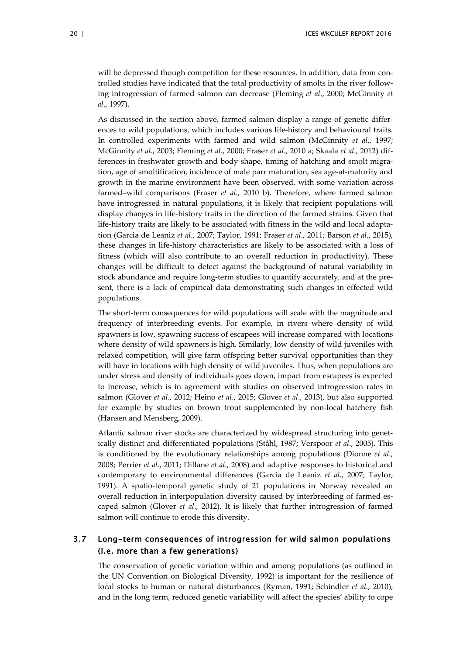will be depressed though competition for these resources. In addition, data from controlled studies have indicated that the total productivity of smolts in the river following introgression of farmed salmon can decrease (Fleming *et al*., 2000; McGinnity *et al*., 1997).

As discussed in the section above, farmed salmon display a range of genetic differences to wild populations, which includes various life-history and behavioural traits. In controlled experiments with farmed and wild salmon (McGinnity *et al*., 1997; McGinnity *et al*., 2003; Fleming *et al*., 2000; Fraser *et al*., 2010 a; Skaala *et al*., 2012) differences in freshwater growth and body shape, timing of hatching and smolt migration, age of smoltification, incidence of male parr maturation, sea age-at-maturity and growth in the marine environment have been observed, with some variation across farmed–wild comparisons (Fraser *et al*., 2010 b). Therefore, where farmed salmon have introgressed in natural populations, it is likely that recipient populations will display changes in life-history traits in the direction of the farmed strains. Given that life-history traits are likely to be associated with fitness in the wild and local adaptation (Garcia de Leaniz *et al*., 2007; Taylor, 1991; Fraser *et al*., 2011; Barson *et al*., 2015), these changes in life-history characteristics are likely to be associated with a loss of fitness (which will also contribute to an overall reduction in productivity). These changes will be difficult to detect against the background of natural variability in stock abundance and require long-term studies to quantify accurately, and at the present, there is a lack of empirical data demonstrating such changes in effected wild populations.

The short-term consequences for wild populations will scale with the magnitude and frequency of interbreeding events. For example, in rivers where density of wild spawners is low, spawning success of escapees will increase compared with locations where density of wild spawners is high. Similarly, low density of wild juveniles with relaxed competition, will give farm offspring better survival opportunities than they will have in locations with high density of wild juveniles. Thus, when populations are under stress and density of individuals goes down, impact from escapees is expected to increase, which is in agreement with studies on observed introgression rates in salmon (Glover *et al*., 2012; Heino *et al*., 2015; Glover *et al*., 2013), but also supported for example by studies on brown trout supplemented by non-local hatchery fish (Hansen and Mensberg, 2009).

Atlantic salmon river stocks are characterized by widespread structuring into genetically distinct and differentiated populations (Ståhl, 1987; Verspoor *et al*., 2005). This is conditioned by the evolutionary relationships among populations (Dionne *et al*., 2008; Perrier *et al*., 2011; Dillane *et al*., 2008) and adaptive responses to historical and contemporary to environmental differences (Garcia de Leaniz *et al*., 2007; Taylor, 1991). A spatio-temporal genetic study of 21 populations in Norway revealed an overall reduction in interpopulation diversity caused by interbreeding of farmed escaped salmon (Glover *et al*., 2012). It is likely that further introgression of farmed salmon will continue to erode this diversity.

## <span id="page-22-0"></span>3.7 Long-term consequences of introgression for wild salmon populations (i.e. more than a few generations)

The conservation of genetic variation within and among populations (as outlined in the UN Convention on Biological Diversity, 1992) is important for the resilience of local stocks to human or natural disturbances (Ryman, 1991; Schindler *et al*., 2010), and in the long term, reduced genetic variability will affect the species' ability to cope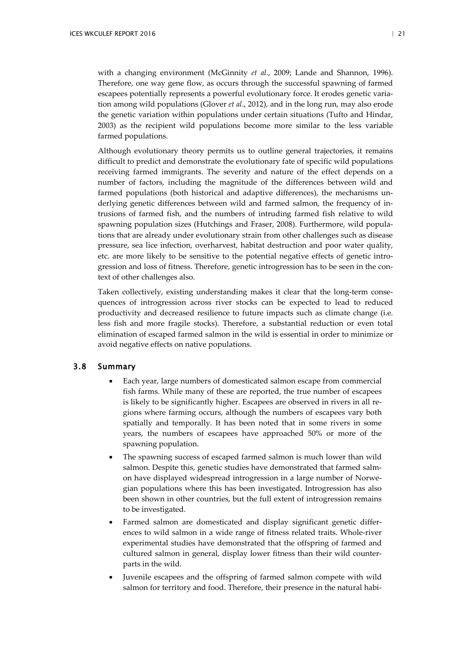with a changing environment (McGinnity *et al*., 2009; Lande and Shannon, 1996). Therefore, one way gene flow, as occurs through the successful spawning of farmed escapees potentially represents a powerful evolutionary force. It erodes genetic variation among wild populations (Glover *et al*., 2012), and in the long run, may also erode the genetic variation within populations under certain situations (Tufto and Hindar, 2003) as the recipient wild populations become more similar to the less variable farmed populations.

Although evolutionary theory permits us to outline general trajectories, it remains difficult to predict and demonstrate the evolutionary fate of specific wild populations receiving farmed immigrants. The severity and nature of the effect depends on a number of factors, including the magnitude of the differences between wild and farmed populations (both historical and adaptive differences), the mechanisms underlying genetic differences between wild and farmed salmon, the frequency of intrusions of farmed fish, and the numbers of intruding farmed fish relative to wild spawning population sizes (Hutchings and Fraser, 2008). Furthermore, wild populations that are already under evolutionary strain from other challenges such as disease pressure, sea lice infection, overharvest, habitat destruction and poor water quality, etc. are more likely to be sensitive to the potential negative effects of genetic introgression and loss of fitness. Therefore, genetic introgression has to be seen in the context of other challenges also.

Taken collectively, existing understanding makes it clear that the long-term consequences of introgression across river stocks can be expected to lead to reduced productivity and decreased resilience to future impacts such as climate change (i.e. less fish and more fragile stocks). Therefore, a substantial reduction or even total elimination of escaped farmed salmon in the wild is essential in order to minimize or avoid negative effects on native populations.

## <span id="page-23-0"></span>3.8 Summary

- Each year, large numbers of domesticated salmon escape from commercial fish farms. While many of these are reported, the true number of escapees is likely to be significantly higher. Escapees are observed in rivers in all regions where farming occurs, although the numbers of escapees vary both spatially and temporally. It has been noted that in some rivers in some years, the numbers of escapees have approached 50% or more of the spawning population.
- The spawning success of escaped farmed salmon is much lower than wild salmon. Despite this, genetic studies have demonstrated that farmed salmon have displayed widespread introgression in a large number of Norwegian populations where this has been investigated. Introgression has also been shown in other countries, but the full extent of introgression remains to be investigated.
- Farmed salmon are domesticated and display significant genetic differences to wild salmon in a wide range of fitness related traits. Whole-river experimental studies have demonstrated that the offspring of farmed and cultured salmon in general, display lower fitness than their wild counterparts in the wild.
- Juvenile escapees and the offspring of farmed salmon compete with wild salmon for territory and food. Therefore, their presence in the natural habi-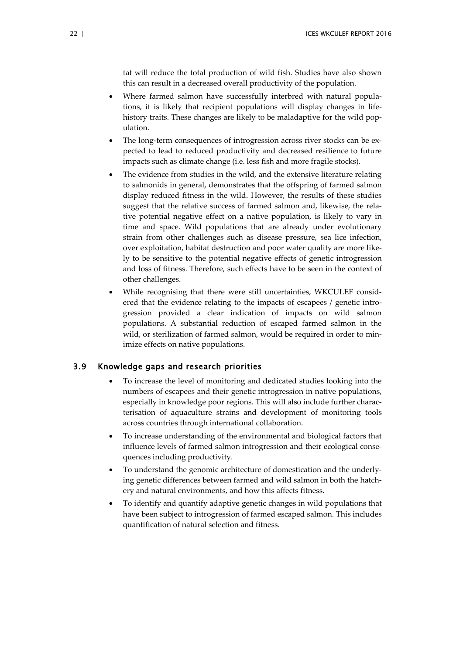tat will reduce the total production of wild fish. Studies have also shown this can result in a decreased overall productivity of the population.

- Where farmed salmon have successfully interbred with natural populations, it is likely that recipient populations will display changes in lifehistory traits. These changes are likely to be maladaptive for the wild population.
- The long-term consequences of introgression across river stocks can be expected to lead to reduced productivity and decreased resilience to future impacts such as climate change (i.e. less fish and more fragile stocks).
- The evidence from studies in the wild, and the extensive literature relating to salmonids in general, demonstrates that the offspring of farmed salmon display reduced fitness in the wild. However, the results of these studies suggest that the relative success of farmed salmon and, likewise, the relative potential negative effect on a native population, is likely to vary in time and space. Wild populations that are already under evolutionary strain from other challenges such as disease pressure, sea lice infection, over exploitation, habitat destruction and poor water quality are more likely to be sensitive to the potential negative effects of genetic introgression and loss of fitness. Therefore, such effects have to be seen in the context of other challenges.
- While recognising that there were still uncertainties, WKCULEF considered that the evidence relating to the impacts of escapees / genetic introgression provided a clear indication of impacts on wild salmon populations. A substantial reduction of escaped farmed salmon in the wild, or sterilization of farmed salmon, would be required in order to minimize effects on native populations.

## <span id="page-24-0"></span>3.9 Knowledge gaps and research priorities

- To increase the level of monitoring and dedicated studies looking into the numbers of escapees and their genetic introgression in native populations, especially in knowledge poor regions. This will also include further characterisation of aquaculture strains and development of monitoring tools across countries through international collaboration.
- To increase understanding of the environmental and biological factors that influence levels of farmed salmon introgression and their ecological consequences including productivity.
- To understand the genomic architecture of domestication and the underlying genetic differences between farmed and wild salmon in both the hatchery and natural environments, and how this affects fitness.
- To identify and quantify adaptive genetic changes in wild populations that have been subject to introgression of farmed escaped salmon. This includes quantification of natural selection and fitness.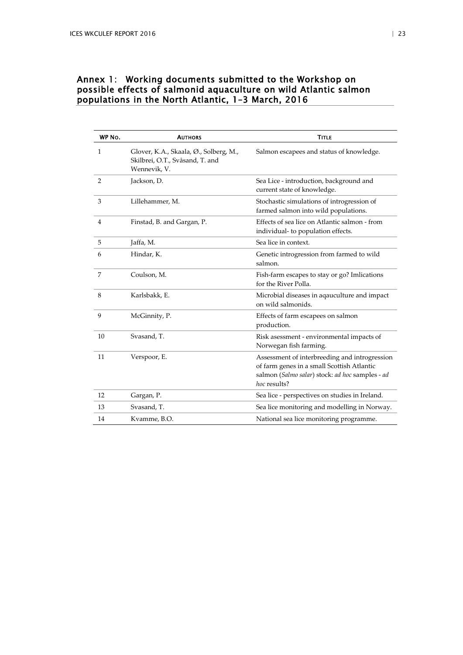## <span id="page-25-0"></span>Annex 1: Working documents submitted to the Workshop on possible effects of salmonid aquaculture on wild Atlantic salmon populations in the North Atlantic, 1–3 March, 2016

| WP No.         | <b>AUTHORS</b>                                                                            | <b>TITLE</b>                                                                                                                                                   |
|----------------|-------------------------------------------------------------------------------------------|----------------------------------------------------------------------------------------------------------------------------------------------------------------|
| 1              | Glover, K.A., Skaala, Ø., Solberg, M.,<br>Skilbrei, O.T., Svåsand, T. and<br>Wennevik, V. | Salmon escapees and status of knowledge.                                                                                                                       |
| 2              | Jackson, D.                                                                               | Sea Lice - introduction, background and<br>current state of knowledge.                                                                                         |
| 3              | Lillehammer, M.                                                                           | Stochastic simulations of introgression of<br>farmed salmon into wild populations.                                                                             |
| 4              | Finstad, B. and Gargan, P.                                                                | Effects of sea lice on Atlantic salmon - from<br>individual- to population effects.                                                                            |
| 5              | Jaffa, M.                                                                                 | Sea lice in context.                                                                                                                                           |
| 6              | Hindar, K.                                                                                | Genetic introgression from farmed to wild<br>salmon.                                                                                                           |
| $\overline{7}$ | Coulson, M.                                                                               | Fish-farm escapes to stay or go? Imlications<br>for the River Polla.                                                                                           |
| 8              | Karlsbakk, E.                                                                             | Microbial diseases in aqauculture and impact<br>on wild salmonids.                                                                                             |
| 9              | McGinnity, P.                                                                             | Effects of farm escapees on salmon<br>production.                                                                                                              |
| 10             | Svasand, T.                                                                               | Risk asessment - environmental impacts of<br>Norwegan fish farming.                                                                                            |
| 11             | Verspoor, E.                                                                              | Assessment of interbreeding and introgression<br>of farm genes in a small Scottish Atlantic<br>salmon (Salmo salar) stock: ad hoc samples - ad<br>hoc results? |
| 12             | Gargan, P.                                                                                | Sea lice - perspectives on studies in Ireland.                                                                                                                 |
| 13             | Svasand, T.                                                                               | Sea lice monitoring and modelling in Norway.                                                                                                                   |
| 14             | Kvamme, B.O.                                                                              | National sea lice monitoring programme.                                                                                                                        |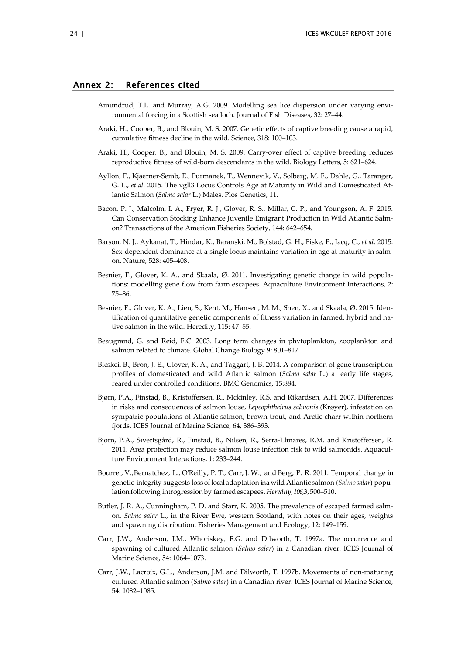#### <span id="page-26-0"></span>Annex 2: References cited

- Amundrud, T.L. and Murray, A.G. 2009. Modelling sea lice dispersion under varying environmental forcing in a Scottish sea loch. Journal of Fish Diseases, 32: 27–44.
- Araki, H., Cooper, B., and Blouin, M. S. 2007. Genetic effects of captive breeding cause a rapid, cumulative fitness decline in the wild. Science, 318: 100–103.
- Araki, H., Cooper, B., and Blouin, M. S. 2009. Carry-over effect of captive breeding reduces reproductive fitness of wild-born descendants in the wild. Biology Letters, 5: 621–624.
- Ayllon, F., Kjaerner-Semb, E., Furmanek, T., Wennevik, V., Solberg, M. F., Dahle, G., Taranger, G. L., *et al*. 2015. The vgll3 Locus Controls Age at Maturity in Wild and Domesticated Atlantic Salmon (*Salmo salar* L.) Males. Plos Genetics, 11.
- Bacon, P. J., Malcolm, I. A., Fryer, R. J., Glover, R. S., Millar, C. P., and Youngson, A. F. 2015. Can Conservation Stocking Enhance Juvenile Emigrant Production in Wild Atlantic Salmon? Transactions of the American Fisheries Society, 144: 642–654.
- Barson, N. J., Aykanat, T., Hindar, K., Baranski, M., Bolstad, G. H., Fiske, P., Jacq, C., *et al*. 2015. Sex-dependent dominance at a single locus maintains variation in age at maturity in salmon. Nature, 528: 405–408.
- Besnier, F., Glover, K. A., and Skaala, Ø. 2011. Investigating genetic change in wild populations: modelling gene flow from farm escapees. Aquaculture Environment Interactions, 2: 75–86.
- Besnier, F., Glover, K. A., Lien, S., Kent, M., Hansen, M. M., Shen, X., and Skaala, Ø. 2015. Identification of quantitative genetic components of fitness variation in farmed, hybrid and native salmon in the wild. Heredity, 115: 47–55.
- Beaugrand, G. and Reid, F.C. 2003. Long term changes in phytoplankton, zooplankton and salmon related to climate. Global Change Biology 9: 801–817.
- Bicskei, B., Bron, J. E., Glover, K. A., and Taggart, J. B. 2014. A comparison of gene transcription profiles of domesticated and wild Atlantic salmon (*Salmo salar* L.) at early life stages, reared under controlled conditions. BMC Genomics, 15:884.
- Bjørn, P.A., Finstad, B., Kristoffersen, R., Mckinley, R.S. and Rikardsen, A.H. 2007. Differences in risks and consequences of salmon louse, *Lepeophtheirus salmonis* (Krøyer), infestation on sympatric populations of Atlantic salmon, brown trout, and Arctic charr within northern fjords. ICES Journal of Marine Science, 64, 386–393.
- Bjørn, P.A., Sivertsgård, R., Finstad, B., Nilsen, R., Serra-Llinares, R.M. and Kristoffersen, R. 2011. Area protection may reduce salmon louse infection risk to wild salmonids. Aquaculture Environment Interactions, 1: 233–244.
- Bourret, V.,Bernatchez, L., O'Reilly, P. T., Carr, J. W., and Berg, P. R. 2011. Temporal change in genetic integrity suggests lossof local adaptation ina wild Atlantic salmon (*Salmo salar*) population following introgression by farmedescapees. *Heredity,106,*3,500–510.
- Butler, J. R. A., Cunningham, P. D. and Starr, K. 2005. The prevalence of escaped farmed salmon, *Salmo salar* L., in the River Ewe, western Scotland, with notes on their ages, weights and spawning distribution. Fisheries Management and Ecology, 12: 149–159.
- Carr, J.W., Anderson, J.M., Whoriskey, F.G. and Dilworth, T. 1997a. The occurrence and spawning of cultured Atlantic salmon (*Salmo salar*) in a Canadian river. ICES Journal of Marine Science, 54: 1064–1073.
- Carr, J.W., Lacroix, G.L., Anderson, J.M. and Dilworth, T. 1997b. Movements of non-maturing cultured Atlantic salmon (*Salmo salar*) in a Canadian river. ICES Journal of Marine Science, 54: 1082–1085.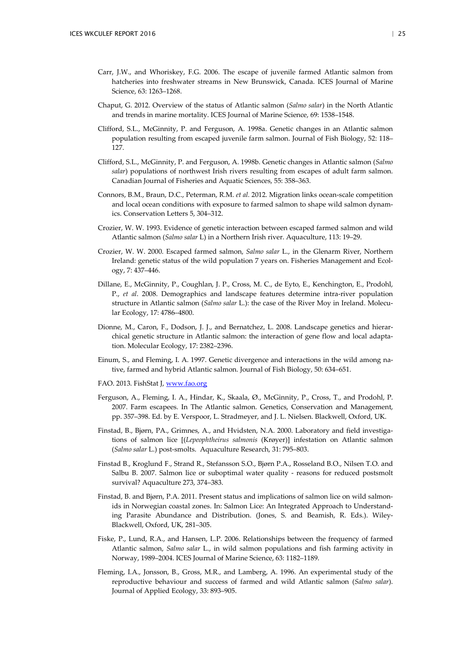- Carr, J.W., and Whoriskey, F.G. 2006. The escape of juvenile farmed Atlantic salmon from hatcheries into freshwater streams in New Brunswick, Canada. ICES Journal of Marine Science, 63: 1263–1268.
- Chaput, G. 2012. Overview of the status of Atlantic salmon (*Salmo salar*) in the North Atlantic and trends in marine mortality. ICES Journal of Marine Science, 69: 1538–1548.
- Clifford, S.L., McGinnity, P. and Ferguson, A. 1998a. Genetic changes in an Atlantic salmon population resulting from escaped juvenile farm salmon. Journal of Fish Biology, 52: 118– 127.
- Clifford, S.L., McGinnity, P. and Ferguson, A. 1998b. Genetic changes in Atlantic salmon (*Salmo salar*) populations of northwest Irish rivers resulting from escapes of adult farm salmon. Canadian Journal of Fisheries and Aquatic Sciences, 55: 358–363.
- Connors, B.M., Braun, D.C., Peterman, R.M. *et al.* 2012. Migration links ocean-scale competition and local ocean conditions with exposure to farmed salmon to shape wild salmon dynamics. Conservation Letters 5, 304–312.
- Crozier, W. W. 1993. Evidence of genetic interaction between escaped farmed salmon and wild Atlantic salmon (*Salmo salar* L) in a Northern Irish river. Aquaculture, 113: 19–29.
- Crozier, W. W. 2000. Escaped farmed salmon, *Salmo salar* L., in the Glenarm River, Northern Ireland: genetic status of the wild population 7 years on. Fisheries Management and Ecology, 7: 437–446.
- Dillane, E., McGinnity, P., Coughlan, J. P., Cross, M. C., de Eyto, E., Kenchington, E., Prodohl, P., *et al*. 2008. Demographics and landscape features determine intra-river population structure in Atlantic salmon (*Salmo salar* L.): the case of the River Moy in Ireland. Molecular Ecology, 17: 4786–4800.
- Dionne, M., Caron, F., Dodson, J. J., and Bernatchez, L. 2008. Landscape genetics and hierarchical genetic structure in Atlantic salmon: the interaction of gene flow and local adaptation. Molecular Ecology, 17: 2382–2396.
- Einum, S., and Fleming, I. A. 1997. Genetic divergence and interactions in the wild among native, farmed and hybrid Atlantic salmon. Journal of Fish Biology, 50: 634–651.
- FAO. 2013. FishStat J, [www.fao.org](http://www.fao.org/)
- Ferguson, A., Fleming, I. A., Hindar, K., Skaala, Ø., McGinnity, P., Cross, T., and Prodohl, P. 2007. Farm escapees. In The Atlantic salmon. Genetics, Conservation and Management, pp. 357–398. Ed. by E. Verspoor, L. Stradmeyer, and J. L. Nielsen. Blackwell, Oxford, UK.
- Finstad, B., Bjørn, PA., Grimnes, A., and Hvidsten, N.A. 2000. Laboratory and field investigations of salmon lice [(*Lepeophtheirus salmonis* (Krøyer)] infestation on Atlantic salmon (*Salmo salar* L.) post-smolts. Aquaculture Research, 31: 795–803.
- Finstad B., Kroglund F., Strand R., Stefansson S.O., Bjørn P.A., Rosseland B.O., Nilsen T.O. and Salbu B. 2007. Salmon lice or suboptimal water quality - reasons for reduced postsmolt survival? Aquaculture 273, 374–383.
- Finstad, B. and Bjørn, P.A. 2011. Present status and implications of salmon lice on wild salmonids in Norwegian coastal zones. In: Salmon Lice: An Integrated Approach to Understanding Parasite Abundance and Distribution. (Jones, S. and Beamish, R. Eds.). Wiley-Blackwell, Oxford, UK, 281–305.
- Fiske, P., Lund, R.A., and Hansen, L.P. 2006. Relationships between the frequency of farmed Atlantic salmon, *Salmo salar* L., in wild salmon populations and fish farming activity in Norway, 1989–2004. ICES Journal of Marine Science, 63: 1182–1189.
- Fleming, I.A., Jonsson, B., Gross, M.R., and Lamberg, A. 1996. An experimental study of the reproductive behaviour and success of farmed and wild Atlantic salmon (*Salmo salar*). Journal of Applied Ecology, 33: 893–905.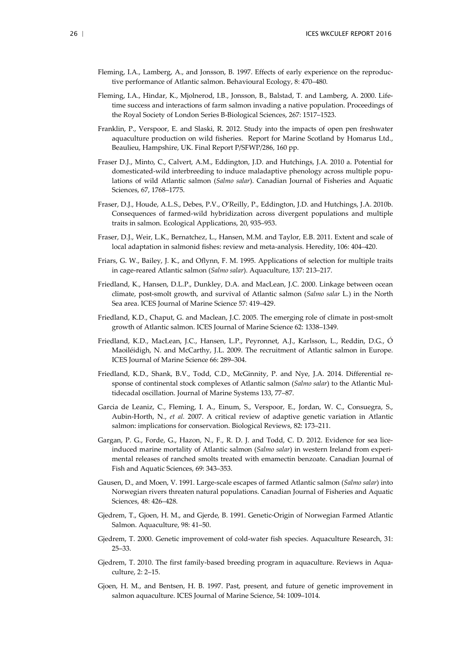- Fleming, I.A., Lamberg, A., and Jonsson, B. 1997. Effects of early experience on the reproductive performance of Atlantic salmon. Behavioural Ecology, 8: 470–480.
- Fleming, I.A., Hindar, K., Mjolnerod, I.B., Jonsson, B., Balstad, T. and Lamberg, A. 2000. Lifetime success and interactions of farm salmon invading a native population. Proceedings of the Royal Society of London Series B-Biological Sciences, 267: 1517–1523.
- Franklin, P., Verspoor, E. and Slaski, R. 2012. Study into the impacts of open pen freshwater aquaculture production on wild fisheries. Report for Marine Scotland by Homarus Ltd., Beaulieu, Hampshire, UK. Final Report P/SFWP/286, 160 pp.
- Fraser D.J., Minto, C., Calvert, A.M., Eddington, J.D. and Hutchings, J.A. 2010 a. Potential for domesticated-wild interbreeding to induce maladaptive phenology across multiple populations of wild Atlantic salmon (*Salmo salar*). Canadian Journal of Fisheries and Aquatic Sciences, 67, 1768–1775.
- Fraser, D.J., Houde, A.L.S., Debes, P.V., O'Reilly, P., Eddington, J.D. and Hutchings, J.A. 2010b. Consequences of farmed-wild hybridization across divergent populations and multiple traits in salmon. Ecological Applications, 20, 935–953.
- Fraser, D.J., Weir, L.K., Bernatchez, L., Hansen, M.M. and Taylor, E.B. 2011. Extent and scale of local adaptation in salmonid fishes: review and meta-analysis. Heredity, 106: 404–420.
- Friars, G. W., Bailey, J. K., and Oflynn, F. M. 1995. Applications of selection for multiple traits in cage-reared Atlantic salmon (*Salmo salar*). Aquaculture, 137: 213–217.
- Friedland, K., Hansen, D.L.P., Dunkley, D.A. and MacLean, J.C. 2000. Linkage between ocean climate, post-smolt growth, and survival of Atlantic salmon (*Salmo salar* L.) in the North Sea area. ICES Journal of Marine Science 57: 419–429.
- Friedland, K.D., Chaput, G. and Maclean, J.C. 2005. The emerging role of climate in post-smolt growth of Atlantic salmon. ICES Journal of Marine Science 62: 1338–1349.
- Friedland, K.D., MacLean, J.C., Hansen, L.P., Peyronnet, A.J., Karlsson, L., Reddin, D.G., Ó Maoiléidigh, N. and McCarthy, J.L. 2009. The recruitment of Atlantic salmon in Europe. ICES Journal of Marine Science 66: 289–304.
- Friedland, K.D., Shank, B.V., Todd, C.D., McGinnity, P. and Nye, J.A. 2014. Differential response of continental stock complexes of Atlantic salmon (*Salmo salar*) to the Atlantic Multidecadal oscillation. Journal of Marine Systems 133, 77–87.
- Garcia de Leaniz, C., Fleming, I. A., Einum, S., Verspoor, E., Jordan, W. C., Consuegra, S., Aubin-Horth, N., *et al.* 2007. A critical review of adaptive genetic variation in Atlantic salmon: implications for conservation. Biological Reviews, 82: 173–211.
- Gargan, P. G., Forde, G., Hazon, N., F., R. D. J. and Todd, C. D. 2012. Evidence for sea liceinduced marine mortality of Atlantic salmon (*Salmo salar*) in western Ireland from experimental releases of ranched smolts treated with emamectin benzoate. Canadian Journal of Fish and Aquatic Sciences, 69: 343–353.
- Gausen, D., and Moen, V. 1991. Large-scale escapes of farmed Atlantic salmon (*Salmo salar*) into Norwegian rivers threaten natural populations. Canadian Journal of Fisheries and Aquatic Sciences, 48: 426–428.
- Gjedrem, T., Gjoen, H. M., and Gjerde, B. 1991. Genetic-Origin of Norwegian Farmed Atlantic Salmon. Aquaculture, 98: 41–50.
- Gjedrem, T. 2000. Genetic improvement of cold-water fish species. Aquaculture Research, 31: 25–33.
- Gjedrem, T. 2010. The first family-based breeding program in aquaculture. Reviews in Aquaculture, 2: 2–15.
- Gjoen, H. M., and Bentsen, H. B. 1997. Past, present, and future of genetic improvement in salmon aquaculture. ICES Journal of Marine Science, 54: 1009–1014.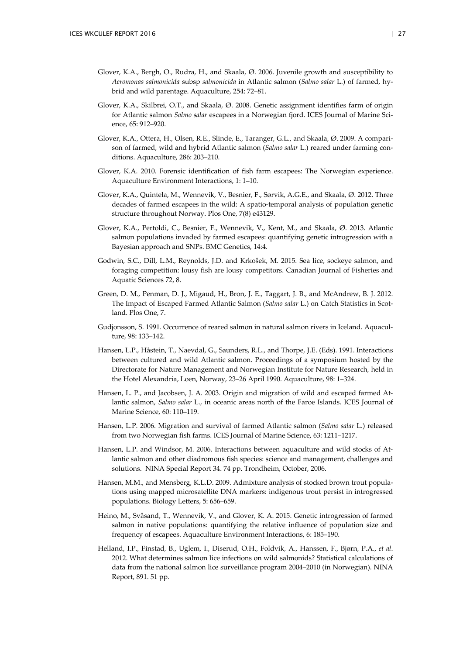- Glover, K.A., Bergh, O., Rudra, H., and Skaala, Ø. 2006. Juvenile growth and susceptibility to *Aeromonas salmonicida* subsp *salmonicida* in Atlantic salmon (*Salmo salar* L.) of farmed, hybrid and wild parentage. Aquaculture, 254: 72–81.
- Glover, K.A., Skilbrei, O.T., and Skaala, Ø. 2008. Genetic assignment identifies farm of origin for Atlantic salmon *Salmo salar* escapees in a Norwegian fjord. ICES Journal of Marine Science, 65: 912–920.
- Glover, K.A., Ottera, H., Olsen, R.E., Slinde, E., Taranger, G.L., and Skaala, Ø. 2009. A comparison of farmed, wild and hybrid Atlantic salmon (*Salmo salar* L.) reared under farming conditions. Aquaculture, 286: 203–210.
- Glover, K.A. 2010. Forensic identification of fish farm escapees: The Norwegian experience. Aquaculture Environment Interactions, 1: 1–10.
- Glover, K.A., Quintela, M., Wennevik, V., Besnier, F., Sørvik, A.G.E., and Skaala, Ø. 2012. Three decades of farmed escapees in the wild: A spatio-temporal analysis of population genetic structure throughout Norway. Plos One, 7(8) e43129.
- Glover, K.A., Pertoldi, C., Besnier, F., Wennevik, V., Kent, M., and Skaala, Ø. 2013. Atlantic salmon populations invaded by farmed escapees: quantifying genetic introgression with a Bayesian approach and SNPs. BMC Genetics, 14:4.
- Godwin, S.C., Dill, L.M., Reynolds, J.D. and Krkošek, M. 2015. Sea lice, sockeye salmon, and foraging competition: lousy fish are lousy competitors. Canadian Journal of Fisheries and Aquatic Sciences 72, 8.
- Green, D. M., Penman, D. J., Migaud, H., Bron, J. E., Taggart, J. B., and McAndrew, B. J. 2012. The Impact of Escaped Farmed Atlantic Salmon (*Salmo salar* L.) on Catch Statistics in Scotland. Plos One, 7.
- Gudjonsson, S. 1991. Occurrence of reared salmon in natural salmon rivers in Iceland. Aquaculture, 98: 133–142.
- Hansen, L.P., Håstein, T., Naevdal, G., Saunders, R.L., and Thorpe, J.E. (Eds). 1991. Interactions between cultured and wild Atlantic salmon. Proceedings of a symposium hosted by the Directorate for Nature Management and Norwegian Institute for Nature Research, held in the Hotel Alexandria, Loen, Norway, 23–26 April 1990. Aquaculture, 98: 1–324.
- Hansen, L. P., and Jacobsen, J. A. 2003. Origin and migration of wild and escaped farmed Atlantic salmon, *Salmo salar* L., in oceanic areas north of the Faroe Islands. ICES Journal of Marine Science, 60: 110–119.
- Hansen, L.P. 2006. Migration and survival of farmed Atlantic salmon (*Salmo salar* L.) released from two Norwegian fish farms. ICES Journal of Marine Science, 63: 1211–1217.
- Hansen, L.P. and Windsor, M. 2006. Interactions between aquaculture and wild stocks of Atlantic salmon and other diadromous fish species: science and management, challenges and solutions. NINA Special Report 34. 74 pp. Trondheim, October, 2006.
- Hansen, M.M., and Mensberg, K.L.D. 2009. Admixture analysis of stocked brown trout populations using mapped microsatellite DNA markers: indigenous trout persist in introgressed populations. Biology Letters, 5: 656–659.
- Heino, M., Svåsand, T., Wennevik, V., and Glover, K. A. 2015. Genetic introgression of farmed salmon in native populations: quantifying the relative influence of population size and frequency of escapees. Aquaculture Environment Interactions, 6: 185–190.
- Helland, I.P., Finstad, B., Uglem, I., Diserud, O.H., Foldvik, A., Hanssen, F., Bjørn, P.A., *et al*. 2012. What determines salmon lice infections on wild salmonids? Statistical calculations of data from the national salmon lice surveillance program 2004–2010 (in Norwegian). NINA Report, 891. 51 pp.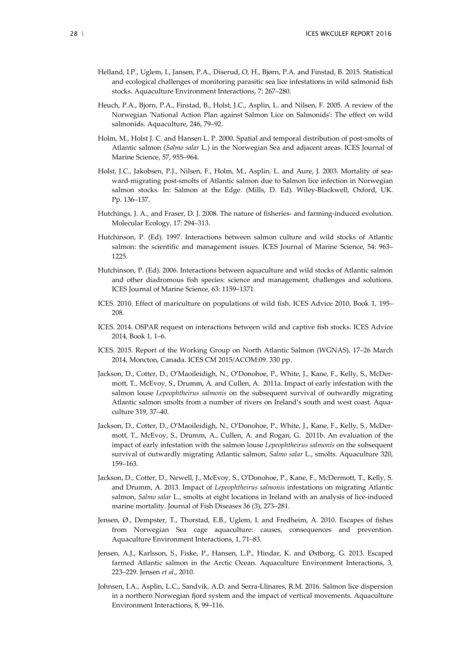- Helland, I.P., Uglem, I., Jansen, P.A., Diserud, O, H., Bjørn, P.A. and Finstad, B. 2015. Statistical and ecological challenges of monitoring parasitic sea lice infestations in wild salmonid fish stocks. Aquaculture Environment Interactions, 7: 267–280.
- Heuch, P.A., Bjorn, P.A., Finstad, B., Holst, J.C., Asplin, L. and Nilsen, F. 2005. A review of the Norwegian 'National Action Plan against Salmon Lice on Salmonids': The effect on wild salmonids. Aquaculture, 246, 79–92.
- Holm, M., Holst J. C. and Hansen L. P. 2000. Spatial and temporal distribution of post-smolts of Atlantic salmon (*Salmo salar* L.) in the Norwegian Sea and adjacent areas. ICES Journal of Marine Science, 57, 955–964.
- Holst, J.C., Jakobsen, P.J., Nilsen, F., Holm, M., Asplin, L. and Aure, J. 2003. Mortality of seaward-migrating post-smolts of Atlantic salmon due to Salmon lice infection in Norwegian salmon stocks. In: Salmon at the Edge. (Mills, D. Ed). Wiley-Blackwell, Oxford, UK. Pp. 136–137.
- Hutchings, J. A., and Fraser, D. J. 2008. The nature of fisheries- and farming-induced evolution. Molecular Ecology, 17: 294–313.
- Hutchinson, P. (Ed). 1997. Interactions between salmon culture and wild stocks of Atlantic salmon: the scientific and management issues. ICES Journal of Marine Science, 54: 963– 1225.
- Hutchinson, P. (Ed). 2006. Interactions between aquaculture and wild stocks of Atlantic salmon and other diadromous fish species: science and management, challenges and solutions. ICES Journal of Marine Science, 63: 1159–1371.
- ICES. 2010. Effect of mariculture on populations of wild fish. ICES Advice 2010, Book 1, 195– 208.
- ICES. 2014. OSPAR request on interactions between wild and captive fish stocks. ICES Advice 2014, Book 1, 1–6.
- ICES. 2015. Report of the Working Group on North Atlantic Salmon (WGNAS), 17–26 March 2014, Moncton, Canada. ICES CM 2015/ACOM:09. 330 pp.
- Jackson, D., Cotter, D., O'Maoileidigh, N., O'Donohoe, P., White, J., Kane, F., Kelly, S., McDermott, T., McEvoy, S., Drumm, A. and Cullen, A. 2011a. Impact of early infestation with the salmon louse *Lepeophtheirus salmonis* on the subsequent survival of outwardly migrating Atlantic salmon smolts from a number of rivers on Ireland's south and west coast. Aquaculture 319, 37–40.
- Jackson, D., Cotter, D., O'Maoileidigh, N., O'Donohoe, P., White, J., Kane, F., Kelly, S., McDermott, T., McEvoy, S., Drumm, A., Cullen, A. and Rogan, G. 2011b. An evaluation of the impact of early infestation with the salmon louse *Lepeophtheirus salmonis* on the subsequent survival of outwardly migrating Atlantic salmon, *Salmo salar* L., smolts. Aquaculture 320, 159–163.
- Jackson, D., Cotter, D., Newell, J., McEvoy, S., O'Donohoe, P., Kane, F., McDermott, T., Kelly, S. and Drumm, A. 2013. Impact of *Lepeophtheirus salmonis* infestations on migrating Atlantic salmon, *Salmo salar* L., smolts at eight locations in Ireland with an analysis of lice-induced marine mortality. Journal of Fish Diseases 36 (3), 273–281.
- Jensen, Ø., Dempster, T., Thorstad, E.B., Uglem, I. and Fredheim, A. 2010. Escapes of fishes from Norwegian Sea cage aquaculture: causes, consequences and prevention. Aquaculture Environment Interactions, 1, 71–83.
- Jensen, A.J., Karlsson, S., Fiske, P., Hansen, L.P., Hindar, K. and Østborg, G. 2013. Escaped farmed Atlantic salmon in the Arctic Ocean. Aquaculture Environment Interactions, 3, 223–229. Jensen *et al*., 2010.
- Johnsen, I.A., Asplin, L.C., Sandvik, A.D. and Serra-Llinares, R.M. 2016. Salmon lice dispersion in a northern Norwegian fjord system and the impact of vertical movements. Aquaculture Environment Interactions, 8, 99–116.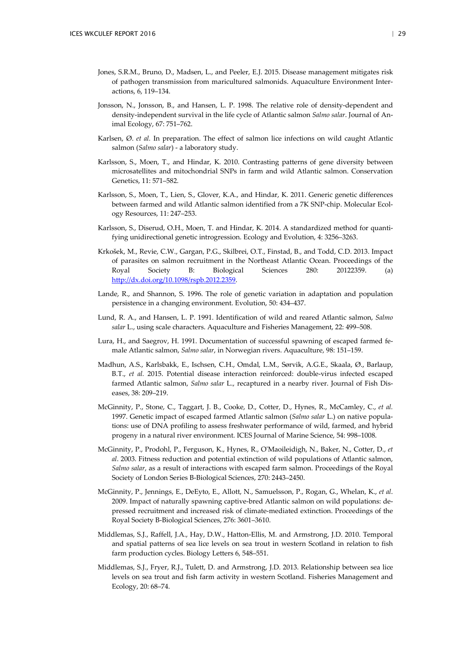- Jones, S.R.M., Bruno, D., Madsen, L., and Peeler, E.J. 2015. Disease management mitigates risk of pathogen transmission from maricultured salmonids. Aquaculture Environment Interactions, 6, 119–134.
- Jonsson, N., Jonsson, B., and Hansen, L. P. 1998. The relative role of density-dependent and density-independent survival in the life cycle of Atlantic salmon *Salmo salar*. Journal of Animal Ecology, 67: 751–762.
- Karlsen, Ø. *et al.* In preparation. The effect of salmon lice infections on wild caught Atlantic salmon (*Salmo salar*) - a laboratory study.
- Karlsson, S., Moen, T., and Hindar, K. 2010. Contrasting patterns of gene diversity between microsatellites and mitochondrial SNPs in farm and wild Atlantic salmon. Conservation Genetics, 11: 571–582.
- Karlsson, S., Moen, T., Lien, S., Glover, K.A., and Hindar, K. 2011. Generic genetic differences between farmed and wild Atlantic salmon identified from a 7K SNP-chip. Molecular Ecology Resources, 11: 247–253.
- Karlsson, S., Diserud, O.H., Moen, T. and Hindar, K. 2014. A standardized method for quantifying unidirectional genetic introgression. Ecology and Evolution, 4: 3256–3263.
- Krkošek, M., Revie, C.W., Gargan, P.G., Skilbrei, O.T., Finstad, B., and Todd, C.D. 2013. Impact of parasites on salmon recruitment in the Northeast Atlantic Ocean. Proceedings of the Royal Society B: Biological Sciences 280: 20122359. (a) [http://dx.doi.org/10.1098/rspb.2012.2359.](http://dx.doi.org/10.1098/rspb.2012.2359)
- Lande, R., and Shannon, S. 1996. The role of genetic variation in adaptation and population persistence in a changing environment. Evolution, 50: 434–437.
- Lund, R. A., and Hansen, L. P. 1991. Identification of wild and reared Atlantic salmon, *Salmo salar* L., using scale characters. Aquaculture and Fisheries Management, 22: 499–508.
- Lura, H., and Saegrov, H. 1991. Documentation of successful spawning of escaped farmed female Atlantic salmon, *Salmo salar*, in Norwegian rivers. Aquaculture, 98: 151–159.
- Madhun, A.S., Karlsbakk, E., Ischsen, C.H., Omdal, L.M., Sørvik, A.G.E., Skaala, Ø., Barlaup, B.T., *et al.* 2015. Potential disease interaction reinforced: double-virus infected escaped farmed Atlantic salmon, *Salmo salar* L., recaptured in a nearby river. Journal of Fish Diseases, 38: 209–219.
- McGinnity, P., Stone, C., Taggart, J. B., Cooke, D., Cotter, D., Hynes, R., McCamley, C., *et al.* 1997. Genetic impact of escaped farmed Atlantic salmon (*Salmo salar* L.) on native populations: use of DNA profiling to assess freshwater performance of wild, farmed, and hybrid progeny in a natural river environment. ICES Journal of Marine Science, 54: 998–1008.
- McGinnity, P., Prodohl, P., Ferguson, K., Hynes, R., O'Maoileidigh, N., Baker, N., Cotter, D., *et al*. 2003. Fitness reduction and potential extinction of wild populations of Atlantic salmon, *Salmo salar*, as a result of interactions with escaped farm salmon. Proceedings of the Royal Society of London Series B-Biological Sciences, 270: 2443–2450.
- McGinnity, P., Jennings, E., DeEyto, E., Allott, N., Samuelsson, P., Rogan, G., Whelan, K., *et al*. 2009. Impact of naturally spawning captive-bred Atlantic salmon on wild populations: depressed recruitment and increased risk of climate-mediated extinction. Proceedings of the Royal Society B-Biological Sciences, 276: 3601–3610.
- Middlemas, S.J., Raffell, J.A., Hay, D.W., Hatton-Ellis, M. and Armstrong, J.D. 2010. Temporal and spatial patterns of sea lice levels on sea trout in western Scotland in relation to fish farm production cycles. Biology Letters 6, 548–551.
- Middlemas, S.J., Fryer, R.J., Tulett, D. and Armstrong, J.D. 2013. Relationship between sea lice levels on sea trout and fish farm activity in western Scotland. Fisheries Management and Ecology, 20: 68–74.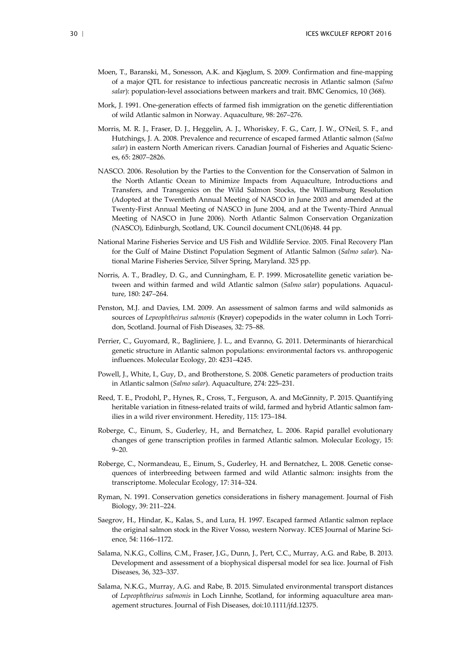- Moen, T., Baranski, M., Sonesson, A.K. and Kjøglum, S. 2009. Confirmation and fine-mapping of a major QTL for resistance to infectious pancreatic necrosis in Atlantic salmon (*Salmo salar*): population-level associations between markers and trait. BMC Genomics, 10 (368).
- Mork, J. 1991. One-generation effects of farmed fish immigration on the genetic differentiation of wild Atlantic salmon in Norway. Aquaculture, 98: 267–276.
- Morris, M. R. J., Fraser, D. J., Heggelin, A. J., Whoriskey, F. G., Carr, J. W., O'Neil, S. F., and Hutchings, J. A. 2008. Prevalence and recurrence of escaped farmed Atlantic salmon (*Salmo salar*) in eastern North American rivers. Canadian Journal of Fisheries and Aquatic Sciences, 65: 2807–2826.
- NASCO. 2006. Resolution by the Parties to the Convention for the Conservation of Salmon in the North Atlantic Ocean to Minimize Impacts from Aquaculture, Introductions and Transfers, and Transgenics on the Wild Salmon Stocks, the Williamsburg Resolution (Adopted at the Twentieth Annual Meeting of NASCO in June 2003 and amended at the Twenty-First Annual Meeting of NASCO in June 2004, and at the Twenty-Third Annual Meeting of NASCO in June 2006). North Atlantic Salmon Conservation Organization (NASCO), Edinburgh, Scotland, UK. Council document CNL(06)48. 44 pp.
- National Marine Fisheries Service and US Fish and Wildlife Service. 2005. Final Recovery Plan for the Gulf of Maine Distinct Population Segment of Atlantic Salmon (*Salmo salar*). National Marine Fisheries Service, Silver Spring, Maryland. 325 pp.
- Norris, A. T., Bradley, D. G., and Cunningham, E. P. 1999. Microsatellite genetic variation between and within farmed and wild Atlantic salmon (*Salmo salar*) populations. Aquaculture, 180: 247–264.
- Penston, M.J. and Davies, I.M. 2009. An assessment of salmon farms and wild salmonids as sources of *Lepeophtheirus salmonis* (Krøyer) copepodids in the water column in Loch Torridon, Scotland. Journal of Fish Diseases, 32: 75–88.
- Perrier, C., Guyomard, R., Bagliniere, J. L., and Evanno, G. 2011. Determinants of hierarchical genetic structure in Atlantic salmon populations: environmental factors vs. anthropogenic influences. Molecular Ecology, 20: 4231–4245.
- Powell, J., White, I., Guy, D., and Brotherstone, S. 2008. Genetic parameters of production traits in Atlantic salmon (*Salmo salar*). Aquaculture, 274: 225–231.
- Reed, T. E., Prodohl, P., Hynes, R., Cross, T., Ferguson, A. and McGinnity, P. 2015. Quantifying heritable variation in fitness-related traits of wild, farmed and hybrid Atlantic salmon families in a wild river environment. Heredity, 115: 173–184.
- Roberge, C., Einum, S., Guderley, H., and Bernatchez, L. 2006. Rapid parallel evolutionary changes of gene transcription profiles in farmed Atlantic salmon. Molecular Ecology, 15:  $9 - 20.$
- Roberge, C., Normandeau, E., Einum, S., Guderley, H. and Bernatchez, L. 2008. Genetic consequences of interbreeding between farmed and wild Atlantic salmon: insights from the transcriptome. Molecular Ecology, 17: 314–324.
- Ryman, N. 1991. Conservation genetics considerations in fishery management. Journal of Fish Biology, 39: 211–224.
- Saegrov, H., Hindar, K., Kalas, S., and Lura, H. 1997. Escaped farmed Atlantic salmon replace the original salmon stock in the River Vosso, western Norway. ICES Journal of Marine Science, 54: 1166–1172.
- Salama, N.K.G., Collins, C.M., Fraser, J.G., Dunn, J., Pert, C.C., Murray, A.G. and Rabe, B. 2013. Development and assessment of a biophysical dispersal model for sea lice. Journal of Fish Diseases, 36, 323–337.
- Salama, N.K.G., Murray, A.G. and Rabe, B. 2015. Simulated environmental transport distances of *Lepeophtheirus salmonis* in Loch Linnhe, Scotland, for informing aquaculture area management structures. Journal of Fish Diseases, doi:10.1111/jfd.12375.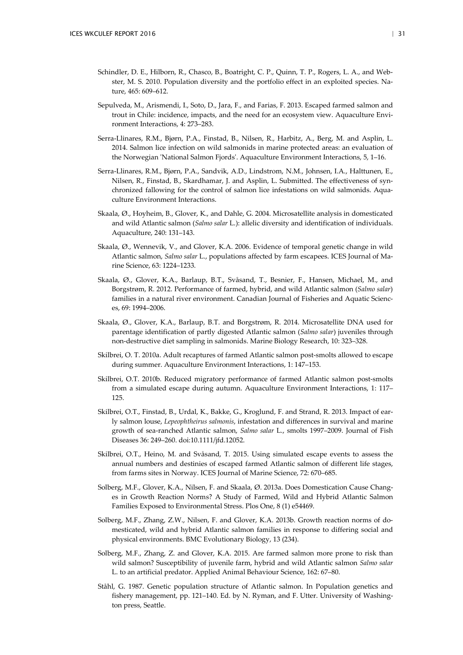- Schindler, D. E., Hilborn, R., Chasco, B., Boatright, C. P., Quinn, T. P., Rogers, L. A., and Webster, M. S. 2010. Population diversity and the portfolio effect in an exploited species. Nature, 465: 609–612.
- Sepulveda, M., Arismendi, I., Soto, D., Jara, F., and Farias, F. 2013. Escaped farmed salmon and trout in Chile: incidence, impacts, and the need for an ecosystem view. Aquaculture Environment Interactions, 4: 273–283.
- Serra-Llinares, R.M., Bjørn, P.A., Finstad, B., Nilsen, R., Harbitz, A., Berg, M. and Asplin, L. 2014. Salmon lice infection on wild salmonids in marine protected areas: an evaluation of the Norwegian 'National Salmon Fjords'. Aquaculture Environment Interactions, 5, 1–16.
- Serra-Llinares, R.M., Bjørn, P.A., Sandvik, A.D., Lindstrom, N.M., Johnsen, I.A., Halttunen, E., Nilsen, R., Finstad, B., Skardhamar, J. and Asplin, L. Submitted. The effectiveness of synchronized fallowing for the control of salmon lice infestations on wild salmonids. Aquaculture Environment Interactions.
- Skaala, Ø., Hoyheim, B., Glover, K., and Dahle, G. 2004. Microsatellite analysis in domesticated and wild Atlantic salmon (*Salmo salar* L.): allelic diversity and identification of individuals. Aquaculture, 240: 131–143.
- Skaala, Ø., Wennevik, V., and Glover, K.A. 2006. Evidence of temporal genetic change in wild Atlantic salmon, *Salmo salar* L., populations affected by farm escapees. ICES Journal of Marine Science, 63: 1224–1233.
- Skaala, Ø., Glover, K.A., Barlaup, B.T., Svåsand, T., Besnier, F., Hansen, Michael, M., and Borgstrøm, R. 2012. Performance of farmed, hybrid, and wild Atlantic salmon (*Salmo salar*) families in a natural river environment. Canadian Journal of Fisheries and Aquatic Sciences, 69: 1994–2006.
- Skaala, Ø., Glover, K.A., Barlaup, B.T. and Borgstrøm, R. 2014. Microsatellite DNA used for parentage identification of partly digested Atlantic salmon (*Salmo salar*) juveniles through non-destructive diet sampling in salmonids. Marine Biology Research, 10: 323–328.
- Skilbrei, O. T. 2010a. Adult recaptures of farmed Atlantic salmon post-smolts allowed to escape during summer. Aquaculture Environment Interactions, 1: 147–153.
- Skilbrei, O.T. 2010b. Reduced migratory performance of farmed Atlantic salmon post-smolts from a simulated escape during autumn. Aquaculture Environment Interactions, 1: 117– 125.
- Skilbrei, O.T., Finstad, B., Urdal, K., Bakke, G., Kroglund, F. and Strand, R. 2013. Impact of early salmon louse, *Lepeophtheirus salmonis*, infestation and differences in survival and marine growth of sea-ranched Atlantic salmon, *Salmo salar* L., smolts 1997–2009. Journal of Fish Diseases 36: 249–260. doi:10.1111/jfd.12052.
- Skilbrei, O.T., Heino, M. and Svåsand, T. 2015. Using simulated escape events to assess the annual numbers and destinies of escaped farmed Atlantic salmon of different life stages, from farms sites in Norway. ICES Journal of Marine Science, 72: 670–685.
- Solberg, M.F., Glover, K.A., Nilsen, F. and Skaala, Ø. 2013a. Does Domestication Cause Changes in Growth Reaction Norms? A Study of Farmed, Wild and Hybrid Atlantic Salmon Families Exposed to Environmental Stress. Plos One, 8 (1) e54469.
- Solberg, M.F., Zhang, Z.W., Nilsen, F. and Glover, K.A. 2013b. Growth reaction norms of domesticated, wild and hybrid Atlantic salmon families in response to differing social and physical environments. BMC Evolutionary Biology, 13 (234).
- Solberg, M.F., Zhang, Z. and Glover, K.A. 2015. Are farmed salmon more prone to risk than wild salmon? Susceptibility of juvenile farm, hybrid and wild Atlantic salmon *Salmo salar* L. to an artificial predator. Applied Animal Behaviour Science, 162: 67–80.
- Ståhl, G. 1987. Genetic population structure of Atlantic salmon. In Population genetics and fishery management, pp. 121–140. Ed. by N. Ryman, and F. Utter. University of Washington press, Seattle.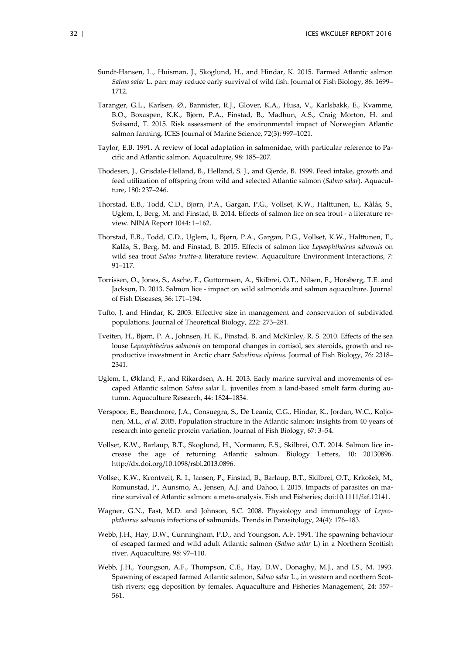- Sundt-Hansen, L., Huisman, J., Skoglund, H., and Hindar, K. 2015. Farmed Atlantic salmon *Salmo salar* L. parr may reduce early survival of wild fish. Journal of Fish Biology, 86: 1699– 1712.
- Taranger, G.L., Karlsen, Ø., Bannister, R.J., Glover, K.A., Husa, V., Karlsbakk, E., Kvamme, B.O., Boxaspen, K.K., Bjørn, P.A., Finstad, B., Madhun, A.S., Craig Morton, H. and Svåsand, T. 2015. Risk assessment of the environmental impact of Norwegian Atlantic salmon farming. ICES Journal of Marine Science, 72(3): 997–1021.
- Taylor, E.B. 1991. A review of local adaptation in salmonidae, with particular reference to Pacific and Atlantic salmon. Aquaculture, 98: 185–207.
- Thodesen, J., Grisdale-Helland, B., Helland, S. J., and Gjerde, B. 1999. Feed intake, growth and feed utilization of offspring from wild and selected Atlantic salmon (*Salmo salar*). Aquaculture, 180: 237–246.
- Thorstad, E.B., Todd, C.D., Bjørn, P.A., Gargan, P.G., Vollset, K.W., Halttunen, E., Kålås, S., Uglem, I., Berg, M. and Finstad, B. 2014. Effects of salmon lice on sea trout - a literature review. NINA Report 1044: 1–162.
- Thorstad, E.B., Todd, C.D., Uglem, I., Bjørn, P.A., Gargan, P.G., Vollset, K.W., Halttunen, E., Kålås, S., Berg, M. and Finstad, B. 2015. Effects of salmon lice *Lepeophtheirus salmonis* on wild sea trout *Salmo trutta-*a literature review. Aquaculture Environment Interactions, 7: 91–117.
- Torrissen, O., Jones, S., Asche, F., Guttormsen, A., Skilbrei, O.T., Nilsen, F., Horsberg, T.E. and Jackson, D. 2013. Salmon lice - impact on wild salmonids and salmon aquaculture. Journal of Fish Diseases, 36: 171–194.
- Tufto, J. and Hindar, K. 2003. Effective size in management and conservation of subdivided populations. Journal of Theoretical Biology, 222: 273–281.
- Tveiten, H., Bjørn, P. A., Johnsen, H. K., Finstad, B. and McKinley, R. S. 2010. Effects of the sea louse *Lepeophtheirus salmonis* on temporal changes in cortisol, sex steroids, growth and reproductive investment in Arctic charr *Salvelinus alpinus*. Journal of Fish Biology, 76: 2318– 2341.
- Uglem, I., Økland, F., and Rikardsen, A. H. 2013. Early marine survival and movements of escaped Atlantic salmon *Salmo salar* L. juveniles from a land-based smolt farm during autumn. Aquaculture Research, 44: 1824–1834.
- Verspoor, E., Beardmore, J.A., Consuegra, S., De Leaniz, C.G., Hindar, K., Jordan, W.C., Koljonen, M.L., *et al*. 2005. Population structure in the Atlantic salmon: insights from 40 years of research into genetic protein variation. Journal of Fish Biology, 67: 3–54.
- Vollset, K.W., Barlaup, B.T., Skoglund, H., Normann, E.S., Skilbrei, O.T. 2014. Salmon lice increase the age of returning Atlantic salmon. Biology Letters, 10: 20130896. http://dx.doi.org/10.1098/rsbl.2013.0896.
- Vollset, K.W., Krontveit, R. I., Jansen, P., Finstad, B., Barlaup, B.T., Skilbrei, O.T., Krkošek, M., Romunstad, P., Aunsmo, A., Jensen, A.J. and Dahoo, I. 2015. Impacts of parasites on marine survival of Atlantic salmon: a meta-analysis. Fish and Fisheries; doi:10.1111/faf.12141.
- Wagner, G.N., Fast, M.D. and Johnson, S.C. 2008. Physiology and immunology of *Lepeophtheirus salmonis* infections of salmonids. Trends in Parasitology, 24(4): 176–183.
- Webb, J.H., Hay, D.W., Cunningham, P.D., and Youngson, A.F. 1991. The spawning behaviour of escaped farmed and wild adult Atlantic salmon (*Salmo salar* L) in a Northern Scottish river. Aquaculture, 98: 97–110.
- Webb, J.H., Youngson, A.F., Thompson, C.E., Hay, D.W., Donaghy, M.J., and I.S., M. 1993. Spawning of escaped farmed Atlantic salmon, *Salmo salar* L., in western and northern Scottish rivers; egg deposition by females. Aquaculture and Fisheries Management, 24: 557– 561.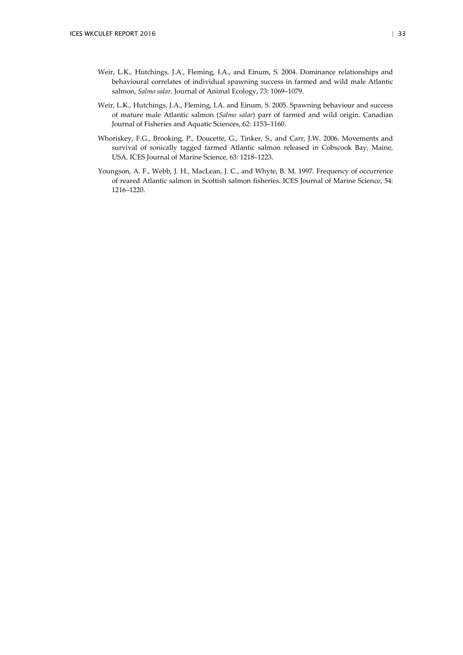- Weir, L.K., Hutchings, J.A., Fleming, I.A., and Einum, S. 2004. Dominance relationships and behavioural correlates of individual spawning success in farmed and wild male Atlantic salmon, *Salmo salar*. Journal of Animal Ecology, 73: 1069–1079.
- Weir, L.K., Hutchings, J.A., Fleming, I.A. and Einum, S. 2005. Spawning behaviour and success of mature male Atlantic salmon (*Salmo salar*) parr of farmed and wild origin. Canadian Journal of Fisheries and Aquatic Sciences, 62: 1153–1160.
- Whoriskey, F.G., Brooking, P., Doucette, G., Tinker, S., and Carr, J.W. 2006. Movements and survival of sonically tagged farmed Atlantic salmon released in Cobscook Bay, Maine, USA. ICES Journal of Marine Science, 63: 1218–1223.
- Youngson, A. F., Webb, J. H., MacLean, J. C., and Whyte, B. M. 1997. Frequency of occurrence of reared Atlantic salmon in Scottish salmon fisheries. ICES Journal of Marine Science, 54: 1216–1220.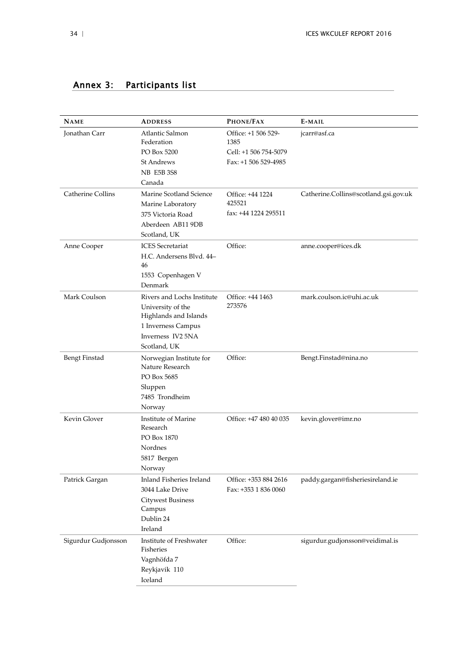| <b>NAME</b>              | <b>ADDRESS</b>                             | PHONE/FAX                   | E-MAIL                                |
|--------------------------|--------------------------------------------|-----------------------------|---------------------------------------|
| Jonathan Carr            | Atlantic Salmon<br>Federation              | Office: +1 506 529-<br>1385 | jcarr@asf.ca                          |
|                          | PO Box 5200                                | Cell: +1 506 754-5079       |                                       |
|                          | <b>St Andrews</b>                          | Fax: +1 506 529-4985        |                                       |
|                          | <b>NB E5B 3S8</b>                          |                             |                                       |
|                          | Canada                                     |                             |                                       |
| <b>Catherine Collins</b> | Marine Scotland Science                    | Office: +44 1224            | Catherine.Collins@scotland.gsi.gov.uk |
|                          | Marine Laboratory                          | 425521                      |                                       |
|                          | 375 Victoria Road                          | fax: +44 1224 295511        |                                       |
|                          | Aberdeen AB11 9DB                          |                             |                                       |
|                          | Scotland, UK                               |                             |                                       |
| Anne Cooper              | <b>ICES</b> Secretariat                    | Office:                     | anne.cooper@ices.dk                   |
|                          | H.C. Andersens Blvd. 44-                   |                             |                                       |
|                          | 46                                         |                             |                                       |
|                          | 1553 Copenhagen V<br>Denmark               |                             |                                       |
| Mark Coulson             | Rivers and Lochs Institute                 | Office: +44 1463            | mark.coulson.ic@uhi.ac.uk             |
|                          | University of the                          | 273576                      |                                       |
|                          | Highlands and Islands                      |                             |                                       |
|                          | 1 Inverness Campus                         |                             |                                       |
|                          | Inverness IV2 5NA                          |                             |                                       |
|                          | Scotland, UK                               |                             |                                       |
| <b>Bengt Finstad</b>     | Norwegian Institute for<br>Nature Research | Office:                     | Bengt.Finstad@nina.no                 |
|                          | PO Box 5685                                |                             |                                       |
|                          | Sluppen                                    |                             |                                       |
|                          | 7485 Trondheim                             |                             |                                       |
|                          | Norway                                     |                             |                                       |
| Kevin Glover             | Institute of Marine                        | Office: +47 480 40 035      | kevin.glover@imr.no                   |
|                          | Research                                   |                             |                                       |
|                          | PO Box 1870                                |                             |                                       |
|                          | Nordnes                                    |                             |                                       |
|                          | 5817 Bergen                                |                             |                                       |
|                          | Norway                                     |                             |                                       |
| Patrick Gargan           | Inland Fisheries Ireland                   | Office: +353 884 2616       | paddy.gargan@fisheriesireland.ie      |
|                          | 3044 Lake Drive                            | Fax: +353 1 836 0060        |                                       |
|                          | <b>Citywest Business</b>                   |                             |                                       |
|                          | Campus<br>Dublin 24                        |                             |                                       |
|                          | Ireland                                    |                             |                                       |
| Sigurdur Gudjonsson      | Institute of Freshwater                    | Office:                     | sigurdur.gudjonsson@veidimal.is       |
|                          | Fisheries                                  |                             |                                       |
|                          | Vagnhöfda 7                                |                             |                                       |
|                          | Reykjavik 110                              |                             |                                       |
|                          | Iceland                                    |                             |                                       |

## <span id="page-36-0"></span>Annex 3: Participants list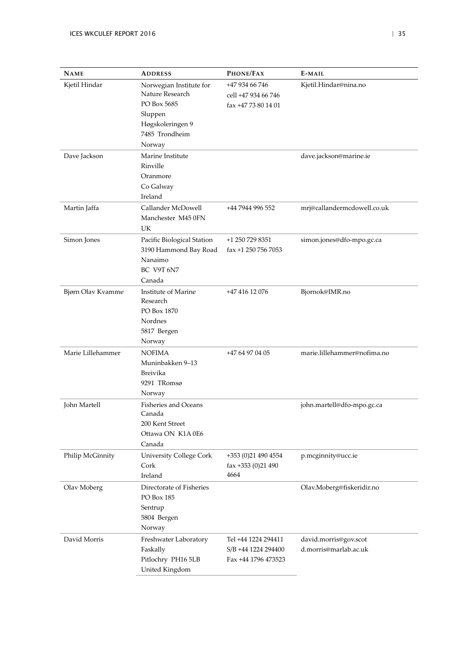| <b>NAME</b>       | <b>ADDRESS</b>                 | PHONE/FAX                    | E-MAIL                      |
|-------------------|--------------------------------|------------------------------|-----------------------------|
| Kjetil Hindar     | Norwegian Institute for        | +47 934 66 746               | Kjetil.Hindar@nina.no       |
|                   | Nature Research                | cell +47 934 66 746          |                             |
|                   | PO Box 5685                    | fax +47 73 80 14 01          |                             |
|                   | Sluppen                        |                              |                             |
|                   | Høgskoleringen 9               |                              |                             |
|                   | 7485 Trondheim                 |                              |                             |
|                   | Norway                         |                              |                             |
| Dave Jackson      | Marine Institute               |                              | dave.jackson@marine.ie      |
|                   | Rinville                       |                              |                             |
|                   | Oranmore                       |                              |                             |
|                   | Co Galway                      |                              |                             |
|                   | Ireland                        |                              |                             |
| Martin Jaffa      | Callander McDowell             | +44 7944 996 552             | mrj@callandermcdowell.co.uk |
|                   | Manchester M45 0FN             |                              |                             |
|                   | <b>UK</b>                      |                              |                             |
| Simon Jones       | Pacific Biological Station     | +1 250 729 8351              | simon.jones@dfo-mpo.gc.ca   |
|                   | 3190 Hammond Bay Road          | fax +1 250 756 7053          |                             |
|                   | Nanaimo                        |                              |                             |
|                   | BC V9T 6N7                     |                              |                             |
|                   | Canada                         |                              |                             |
| Bjørn Olav Kvamme | Institute of Marine            | +47 416 12 076               | Bjornok@IMR.no              |
|                   | Research                       |                              |                             |
|                   | PO Box 1870                    |                              |                             |
|                   | Nordnes                        |                              |                             |
|                   | 5817 Bergen                    |                              |                             |
|                   | Norway                         |                              |                             |
| Marie Lillehammer | <b>NOFIMA</b>                  | +47 64 97 04 05              | marie.lillehammer@nofima.no |
|                   | Muninbakken 9-13               |                              |                             |
|                   | <b>Breivika</b>                |                              |                             |
|                   | 9291 TRomsø                    |                              |                             |
|                   | Norway                         |                              |                             |
| John Martell      | Fisheries and Oceans           |                              | john.martell@dfo-mpo.gc.ca  |
|                   | Canada                         |                              |                             |
|                   | 200 Kent Street                |                              |                             |
|                   | Ottawa ON K1A 0E6              |                              |                             |
|                   | Canada                         |                              |                             |
| Philip McGinnity  | <b>University College Cork</b> | +353 (0)21 490 4554          | p.mcginnity@ucc.ie          |
|                   | Cork                           | $\text{fax} + 353$ (0)21 490 |                             |
|                   | Ireland                        | 4664                         |                             |
| Olav Moberg       | Directorate of Fisheries       |                              | Olav.Moberg@fiskeridir.no   |
|                   | PO Box 185                     |                              |                             |
|                   | Sentrup                        |                              |                             |
|                   | 5804 Bergen                    |                              |                             |
|                   | Norway                         |                              |                             |
| David Morris      | Freshwater Laboratory          | Tel +44 1224 294411          | david.morris@gov.scot       |
|                   | Faskally                       | S/B +44 1224 294400          | d.morris@marlab.ac.uk       |
|                   | Pitlochry PH16 5LB             | Fax +44 1796 473523          |                             |
|                   | United Kingdom                 |                              |                             |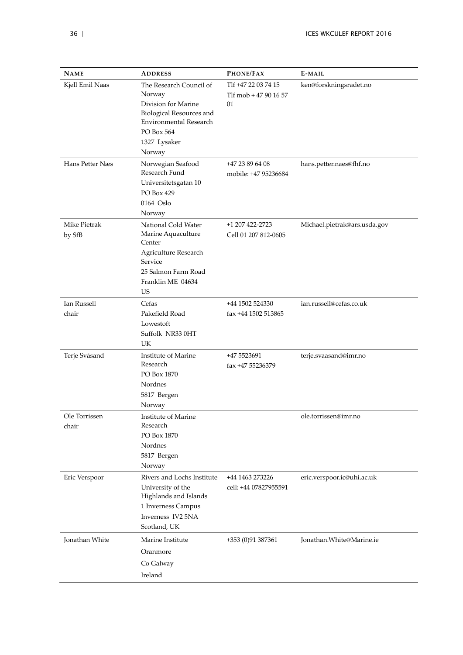| <b>NAME</b>                 | <b>ADDRESS</b>                                                                                                                                                       | PHONE/FAX                                          | E-MAIL                       |
|-----------------------------|----------------------------------------------------------------------------------------------------------------------------------------------------------------------|----------------------------------------------------|------------------------------|
| Kjell Emil Naas             | The Research Council of<br>Norway<br>Division for Marine<br><b>Biological Resources and</b><br><b>Environmental Research</b><br>PO Box 564<br>1327 Lysaker<br>Norway | Tlf +47 22 03 74 15<br>Tlf mob + 47 90 16 57<br>01 | ken@forskningsradet.no       |
| Hans Petter Næs             | Norwegian Seafood<br>Research Fund<br>Universitetsgatan 10<br>PO Box 429<br>0164 Oslo<br>Norway                                                                      | +47 23 89 64 08<br>mobile: +47 95236684            | hans.petter.naes@fhf.no      |
| Mike Pietrak<br>by SfB      | National Cold Water<br>Marine Aquaculture<br>Center<br>Agriculture Research<br>Service<br>25 Salmon Farm Road<br>Franklin ME 04634<br><b>US</b>                      | +1 207 422-2723<br>Cell 01 207 812-0605            | Michael.pietrak@ars.usda.gov |
| <b>Ian Russell</b><br>chair | Cefas<br>Pakefield Road<br>Lowestoft<br>Suffolk NR33 0HT<br>UK                                                                                                       | +44 1502 524330<br>fax +44 1502 513865             | ian.russell@cefas.co.uk      |
| Terje Svåsand               | Institute of Marine<br>Research<br>PO Box 1870<br>Nordnes<br>5817 Bergen<br>Norway                                                                                   | +47 5523691<br>fax +47 55236379                    | terje.svaasand@imr.no        |
| Ole Torrissen<br>chair      | Institute of Marine<br>Research<br>PO Box 1870<br>Nordnes<br>5817 Bergen<br>Norway                                                                                   |                                                    | ole.torrissen@imr.no         |
| Eric Verspoor               | Rivers and Lochs Institute<br>University of the<br>Highlands and Islands<br>1 Inverness Campus<br>Inverness IV2 5NA<br>Scotland, UK                                  | +44 1463 273226<br>cell: +44 07827955591           | eric.verspoor.ic@uhi.ac.uk   |
| <b>Jonathan White</b>       | Marine Institute<br>Oranmore<br>Co Galway<br>Ireland                                                                                                                 | +353 (0)91 387361                                  | Jonathan. White@Marine.ie    |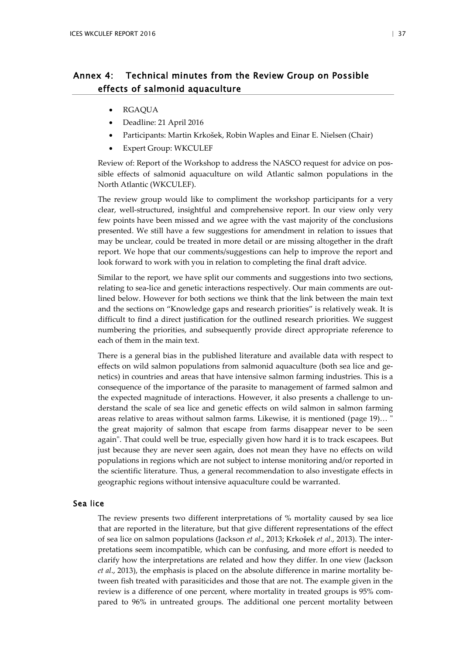## <span id="page-39-0"></span>Annex 4: Technical minutes from the Review Group on Possible effects of salmonid aquaculture

- RGAQUA
- Deadline: 21 April 2016
- Participants: Martin Krkošek, Robin Waples and Einar E. Nielsen (Chair)
- Expert Group: WKCULEF

Review of: Report of the Workshop to address the NASCO request for advice on possible effects of salmonid aquaculture on wild Atlantic salmon populations in the North Atlantic (WKCULEF).

The review group would like to compliment the workshop participants for a very clear, well-structured, insightful and comprehensive report. In our view only very few points have been missed and we agree with the vast majority of the conclusions presented. We still have a few suggestions for amendment in relation to issues that may be unclear, could be treated in more detail or are missing altogether in the draft report. We hope that our comments/suggestions can help to improve the report and look forward to work with you in relation to completing the final draft advice.

Similar to the report, we have split our comments and suggestions into two sections, relating to sea-lice and genetic interactions respectively. Our main comments are outlined below. However for both sections we think that the link between the main text and the sections on "Knowledge gaps and research priorities" is relatively weak. It is difficult to find a direct justification for the outlined research priorities. We suggest numbering the priorities, and subsequently provide direct appropriate reference to each of them in the main text.

There is a general bias in the published literature and available data with respect to effects on wild salmon populations from salmonid aquaculture (both sea lice and genetics) in countries and areas that have intensive salmon farming industries. This is a consequence of the importance of the parasite to management of farmed salmon and the expected magnitude of interactions. However, it also presents a challenge to understand the scale of sea lice and genetic effects on wild salmon in salmon farming areas relative to areas without salmon farms. Likewise, it is mentioned (page 19)… " the great majority of salmon that escape from farms disappear never to be seen again". That could well be true, especially given how hard it is to track escapees. But just because they are never seen again, does not mean they have no effects on wild populations in regions which are not subject to intense monitoring and/or reported in the scientific literature. Thus, a general recommendation to also investigate effects in geographic regions without intensive aquaculture could be warranted.

## Sea lice

The review presents two different interpretations of % mortality caused by sea lice that are reported in the literature, but that give different representations of the effect of sea lice on salmon populations [\(Jackson](#page-42-0) *et al*., 2013; [Krkošek](#page-42-1) *et al*., 2013). The interpretations seem incompatible, which can be confusing, and more effort is needed to clarify how the interpretations are related and how they differ. In one view [\(Jackson](#page-42-0)  *et al*., [2013\)](#page-42-0), the emphasis is placed on the absolute difference in marine mortality between fish treated with parasiticides and those that are not. The example given in the review is a difference of one percent, where mortality in treated groups is 95% compared to 96% in untreated groups. The additional one percent mortality between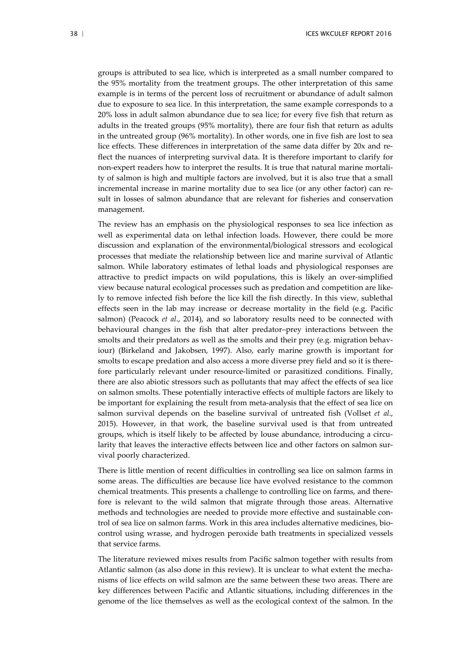groups is attributed to sea lice, which is interpreted as a small number compared to the 95% mortality from the treatment groups. The other interpretation of this same example is in terms of the percent loss of recruitment or abundance of adult salmon due to exposure to sea lice. In this interpretation, the same example corresponds to a 20% loss in adult salmon abundance due to sea lice; for every five fish that return as adults in the treated groups (95% mortality), there are four fish that return as adults in the untreated group (96% mortality). In other words, one in five fish are lost to sea lice effects. These differences in interpretation of the same data differ by 20x and reflect the nuances of interpreting survival data. It is therefore important to clarify for non-expert readers how to interpret the results. It is true that natural marine mortality of salmon is high and multiple factors are involved, but it is also true that a small incremental increase in marine mortality due to sea lice (or any other factor) can result in losses of salmon abundance that are relevant for fisheries and conservation management.

The review has an emphasis on the physiological responses to sea lice infection as well as experimental data on lethal infection loads. However, there could be more discussion and explanation of the environmental/biological stressors and ecological processes that mediate the relationship between lice and marine survival of Atlantic salmon. While laboratory estimates of lethal loads and physiological responses are attractive to predict impacts on wild populations, this is likely an over-simplified view because natural ecological processes such as predation and competition are likely to remove infected fish before the lice kill the fish directly. In this view, sublethal effects seen in the lab may increase or decrease mortality in the field (e.g. Pacific salmon) [\(Peacock](#page-42-2) *et al*., 2014), and so laboratory results need to be connected with behavioural changes in the fish that alter predator–prey interactions between the smolts and their predators as well as the smolts and their prey (e.g. migration behaviour) [\(Birkeland and Jakobsen,](#page-42-3) 1997). Also, early marine growth is important for smolts to escape predation and also access a more diverse prey field and so it is therefore particularly relevant under resource-limited or parasitized conditions. Finally, there are also abiotic stressors such as pollutants that may affect the effects of sea lice on salmon smolts. These potentially interactive effects of multiple factors are likely to be important for explaining the result from meta-analysis that the effect of sea lice on salmon survival depends on the baseline survival of untreated fish [\(Vollset](#page-42-4) *et al*., [2015\)](#page-42-4). However, in that work, the baseline survival used is that from untreated groups, which is itself likely to be affected by louse abundance, introducing a circularity that leaves the interactive effects between lice and other factors on salmon survival poorly characterized.

There is little mention of recent difficulties in controlling sea lice on salmon farms in some areas. The difficulties are because lice have evolved resistance to the common chemical treatments. This presents a challenge to controlling lice on farms, and therefore is relevant to the wild salmon that migrate through those areas. Alternative methods and technologies are needed to provide more effective and sustainable control of sea lice on salmon farms. Work in this area includes alternative medicines, biocontrol using wrasse, and hydrogen peroxide bath treatments in specialized vessels that service farms.

The literature reviewed mixes results from Pacific salmon together with results from Atlantic salmon (as also done in this review). It is unclear to what extent the mechanisms of lice effects on wild salmon are the same between these two areas. There are key differences between Pacific and Atlantic situations, including differences in the genome of the lice themselves as well as the ecological context of the salmon. In the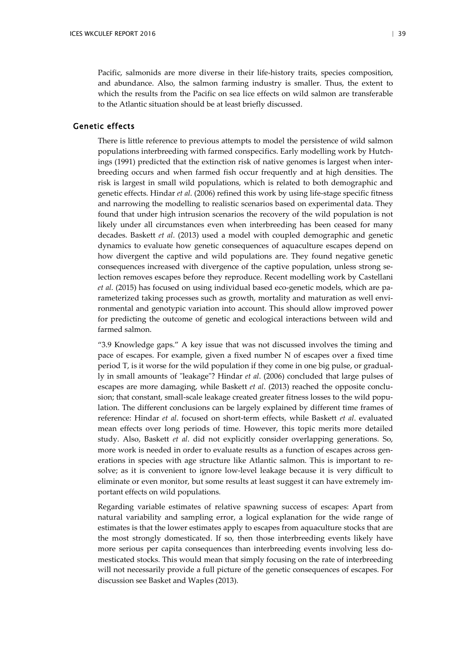Pacific, salmonids are more diverse in their life-history traits, species composition, and abundance. Also, the salmon farming industry is smaller. Thus, the extent to which the results from the Pacific on sea lice effects on wild salmon are transferable to the Atlantic situation should be at least briefly discussed.

## Genetic effects

There is little reference to previous attempts to model the persistence of wild salmon populations interbreeding with farmed conspecifics. Early modelling work by Hutchings (1991) predicted that the extinction risk of native genomes is largest when interbreeding occurs and when farmed fish occur frequently and at high densities. The risk is largest in small wild populations, which is related to both demographic and genetic effects. Hindar *et al*. (2006) refined this work by using life-stage specific fitness and narrowing the modelling to realistic scenarios based on experimental data. They found that under high intrusion scenarios the recovery of the wild population is not likely under all circumstances even when interbreeding has been ceased for many decades. Baskett *et al*. (2013) used a model with coupled demographic and genetic dynamics to evaluate how genetic consequences of aquaculture escapes depend on how divergent the captive and wild populations are. They found negative genetic consequences increased with divergence of the captive population, unless strong selection removes escapes before they reproduce. Recent modelling work by Castellani *et al*. (2015) has focused on using individual based eco-genetic models, which are parameterized taking processes such as growth, mortality and maturation as well environmental and genotypic variation into account. This should allow improved power for predicting the outcome of genetic and ecological interactions between wild and farmed salmon.

"3.9 Knowledge gaps." A key issue that was not discussed involves the timing and pace of escapes. For example, given a fixed number N of escapes over a fixed time period T, is it worse for the wild population if they come in one big pulse, or gradually in small amounts of "leakage"? Hindar *et al*. (2006) concluded that large pulses of escapes are more damaging, while Baskett *et al*. (2013) reached the opposite conclusion; that constant, small-scale leakage created greater fitness losses to the wild population. The different conclusions can be largely explained by different time frames of reference: Hindar *et al*. focused on short-term effects, while Baskett *et al*. evaluated mean effects over long periods of time. However, this topic merits more detailed study. Also, Baskett *et al*. did not explicitly consider overlapping generations. So, more work is needed in order to evaluate results as a function of escapes across generations in species with age structure like Atlantic salmon. This is important to resolve; as it is convenient to ignore low-level leakage because it is very difficult to eliminate or even monitor, but some results at least suggest it can have extremely important effects on wild populations.

Regarding variable estimates of relative spawning success of escapes: Apart from natural variability and sampling error, a logical explanation for the wide range of estimates is that the lower estimates apply to escapes from aquaculture stocks that are the most strongly domesticated. If so, then those interbreeding events likely have more serious per capita consequences than interbreeding events involving less domesticated stocks. This would mean that simply focusing on the rate of interbreeding will not necessarily provide a full picture of the genetic consequences of escapes. For discussion see Basket and Waples (2013).